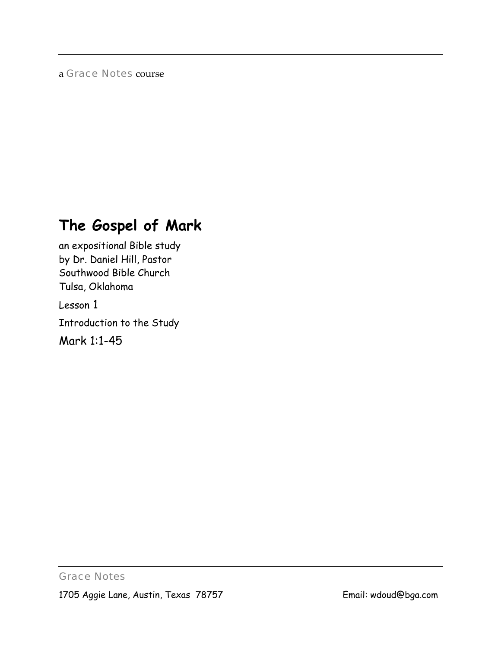# a *Grace Notes* course

# **The Gospel of Mark**

an expositional Bible study by Dr. Daniel Hill, Pastor Southwood Bible Church Tulsa, Oklahoma

Lesson 1

Introduction to the Study

Mark 1:1-45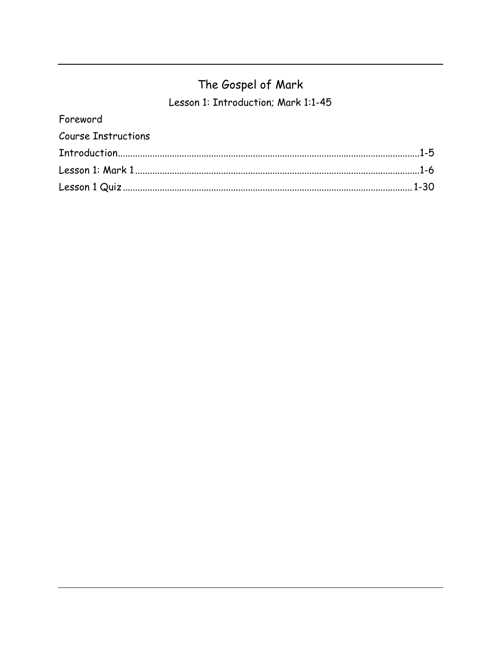# The Gospel of Mark

Lesson 1: Introduction; Mark 1:1-45

| Foreword                   |  |
|----------------------------|--|
| <b>Course Instructions</b> |  |
|                            |  |
|                            |  |
|                            |  |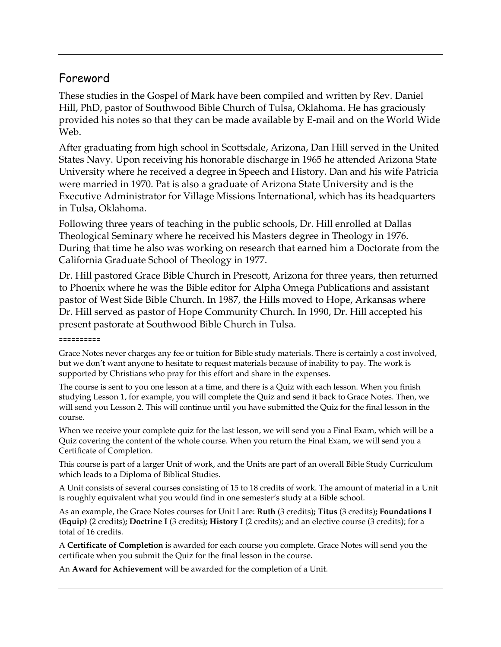# Foreword

These studies in the Gospel of Mark have been compiled and written by Rev. Daniel Hill, PhD, pastor of Southwood Bible Church of Tulsa, Oklahoma. He has graciously provided his notes so that they can be made available by E-mail and on the World Wide Web.

After graduating from high school in Scottsdale, Arizona, Dan Hill served in the United States Navy. Upon receiving his honorable discharge in 1965 he attended Arizona State University where he received a degree in Speech and History. Dan and his wife Patricia were married in 1970. Pat is also a graduate of Arizona State University and is the Executive Administrator for Village Missions International, which has its headquarters in Tulsa, Oklahoma.

Following three years of teaching in the public schools, Dr. Hill enrolled at Dallas Theological Seminary where he received his Masters degree in Theology in 1976. During that time he also was working on research that earned him a Doctorate from the California Graduate School of Theology in 1977.

Dr. Hill pastored Grace Bible Church in Prescott, Arizona for three years, then returned to Phoenix where he was the Bible editor for Alpha Omega Publications and assistant pastor of West Side Bible Church. In 1987, the Hills moved to Hope, Arkansas where Dr. Hill served as pastor of Hope Community Church. In 1990, Dr. Hill accepted his present pastorate at Southwood Bible Church in Tulsa.

#### ==========

Grace Notes never charges any fee or tuition for Bible study materials. There is certainly a cost involved, but we don't want anyone to hesitate to request materials because of inability to pay. The work is supported by Christians who pray for this effort and share in the expenses.

The course is sent to you one lesson at a time, and there is a Quiz with each lesson. When you finish studying Lesson 1, for example, you will complete the Quiz and send it back to Grace Notes. Then, we will send you Lesson 2. This will continue until you have submitted the Quiz for the final lesson in the course.

When we receive your complete quiz for the last lesson, we will send you a Final Exam, which will be a Quiz covering the content of the whole course. When you return the Final Exam, we will send you a Certificate of Completion.

This course is part of a larger Unit of work, and the Units are part of an overall Bible Study Curriculum which leads to a Diploma of Biblical Studies.

A Unit consists of several courses consisting of 15 to 18 credits of work. The amount of material in a Unit is roughly equivalent what you would find in one semester's study at a Bible school.

As an example, the Grace Notes courses for Unit I are: **Ruth** (3 credits)**; Titus** (3 credits)**; Foundations I (Equip)** (2 credits)**; Doctrine I** (3 credits)**; History I** (2 credits); and an elective course (3 credits); for a total of 16 credits.

A **Certificate of Completion** is awarded for each course you complete. Grace Notes will send you the certificate when you submit the Quiz for the final lesson in the course.

An **Award for Achievement** will be awarded for the completion of a Unit.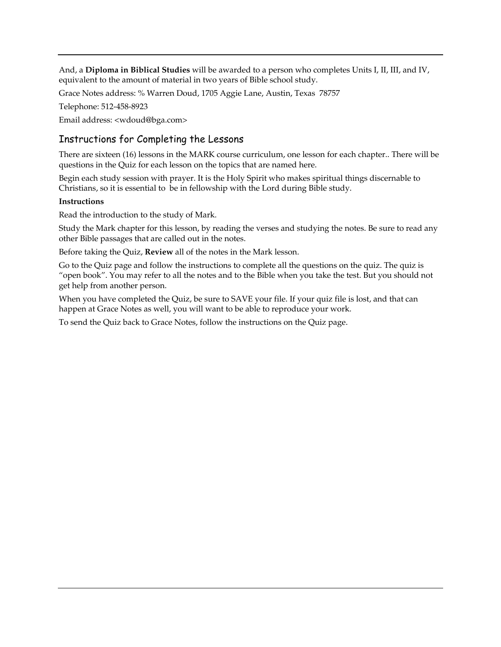And, a **Diploma in Biblical Studies** will be awarded to a person who completes Units I, II, III, and IV, equivalent to the amount of material in two years of Bible school study.

Grace Notes address: % Warren Doud, 1705 Aggie Lane, Austin, Texas 78757

Telephone: 512-458-8923

Email address: <wdoud@bga.com>

# Instructions for Completing the Lessons

There are sixteen (16) lessons in the MARK course curriculum, one lesson for each chapter.. There will be questions in the Quiz for each lesson on the topics that are named here.

Begin each study session with prayer. It is the Holy Spirit who makes spiritual things discernable to Christians, so it is essential to be in fellowship with the Lord during Bible study.

#### **Instructions**

Read the introduction to the study of Mark.

Study the Mark chapter for this lesson, by reading the verses and studying the notes. Be sure to read any other Bible passages that are called out in the notes.

Before taking the Quiz, **Review** all of the notes in the Mark lesson.

Go to the Quiz page and follow the instructions to complete all the questions on the quiz. The quiz is "open book". You may refer to all the notes and to the Bible when you take the test. But you should not get help from another person.

When you have completed the Quiz, be sure to SAVE your file. If your quiz file is lost, and that can happen at Grace Notes as well, you will want to be able to reproduce your work.

To send the Quiz back to Grace Notes, follow the instructions on the Quiz page.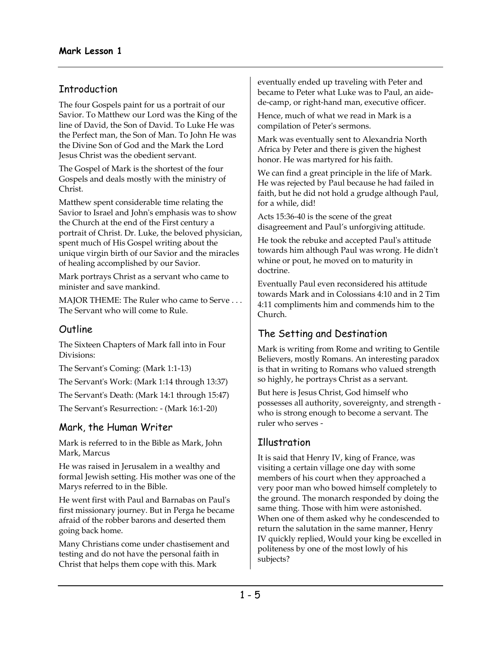# **Introduction**

The four Gospels paint for us a portrait of our Savior. To Matthew our Lord was the King of the line of David, the Son of David. To Luke He was the Perfect man, the Son of Man. To John He was the Divine Son of God and the Mark the Lord Jesus Christ was the obedient servant.

The Gospel of Mark is the shortest of the four Gospels and deals mostly with the ministry of Christ.

Matthew spent considerable time relating the Savior to Israel and John's emphasis was to show the Church at the end of the First century a portrait of Christ. Dr. Luke, the beloved physician, spent much of His Gospel writing about the unique virgin birth of our Savior and the miracles of healing accomplished by our Savior.

Mark portrays Christ as a servant who came to minister and save mankind.

MAJOR THEME: The Ruler who came to Serve . . . The Servant who will come to Rule.

# **Outline**

The Sixteen Chapters of Mark fall into in Four Divisions:

The Servant's Coming: (Mark 1:1-13)

The Servant's Work: (Mark 1:14 through 13:37)

The Servant's Death: (Mark 14:1 through 15:47)

The Servant's Resurrection: - (Mark 16:1-20)

# Mark, the Human Writer

Mark is referred to in the Bible as Mark, John Mark, Marcus

He was raised in Jerusalem in a wealthy and formal Jewish setting. His mother was one of the Marys referred to in the Bible.

He went first with Paul and Barnabas on Paul's first missionary journey. But in Perga he became afraid of the robber barons and deserted them going back home.

Many Christians come under chastisement and testing and do not have the personal faith in Christ that helps them cope with this. Mark

eventually ended up traveling with Peter and became to Peter what Luke was to Paul, an aidede-camp, or right-hand man, executive officer.

Hence, much of what we read in Mark is a compilation of Peter's sermons.

Mark was eventually sent to Alexandria North Africa by Peter and there is given the highest honor. He was martyred for his faith.

We can find a great principle in the life of Mark. He was rejected by Paul because he had failed in faith, but he did not hold a grudge although Paul, for a while, did!

Acts 15:36-40 is the scene of the great disagreement and Paul's unforgiving attitude.

He took the rebuke and accepted Paul's attitude towards him although Paul was wrong. He didn't whine or pout, he moved on to maturity in doctrine.

Eventually Paul even reconsidered his attitude towards Mark and in Colossians 4:10 and in 2 Tim 4:11 compliments him and commends him to the Church.

# The Setting and Destination

Mark is writing from Rome and writing to Gentile Believers, mostly Romans. An interesting paradox is that in writing to Romans who valued strength so highly, he portrays Christ as a servant.

But here is Jesus Christ, God himself who possesses all authority, sovereignty, and strength who is strong enough to become a servant. The ruler who serves -

# **T**llustration

It is said that Henry IV, king of France, was visiting a certain village one day with some members of his court when they approached a very poor man who bowed himself completely to the ground. The monarch responded by doing the same thing. Those with him were astonished. When one of them asked why he condescended to return the salutation in the same manner, Henry IV quickly replied, Would your king be excelled in politeness by one of the most lowly of his subjects?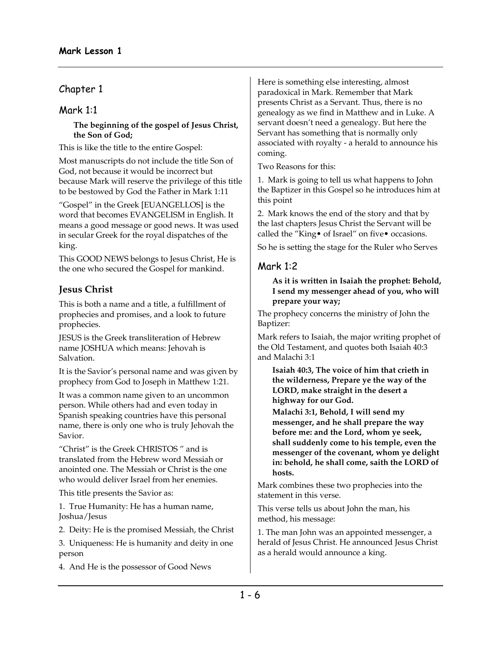# Chapter 1

# Mark 1:1

#### **The beginning of the gospel of Jesus Christ, the Son of God;**

This is like the title to the entire Gospel:

Most manuscripts do not include the title Son of God, not because it would be incorrect but because Mark will reserve the privilege of this title to be bestowed by God the Father in Mark 1:11

"Gospel" in the Greek [EUANGELLOS] is the word that becomes EVANGELISM in English. It means a good message or good news. It was used in secular Greek for the royal dispatches of the king.

This GOOD NEWS belongs to Jesus Christ, He is the one who secured the Gospel for mankind.

# **Jesus Christ**

This is both a name and a title, a fulfillment of prophecies and promises, and a look to future prophecies.

JESUS is the Greek transliteration of Hebrew name JOSHUA which means: Jehovah is Salvation.

It is the Savior's personal name and was given by prophecy from God to Joseph in Matthew 1:21.

It was a common name given to an uncommon person. While others had and even today in Spanish speaking countries have this personal name, there is only one who is truly Jehovah the Savior.

"Christ" is the Greek CHRISTOS " and is translated from the Hebrew word Messiah or anointed one. The Messiah or Christ is the one who would deliver Israel from her enemies.

This title presents the Savior as:

1. True Humanity: He has a human name, Joshua/Jesus

2. Deity: He is the promised Messiah, the Christ

3. Uniqueness: He is humanity and deity in one person

4. And He is the possessor of Good News

Here is something else interesting, almost paradoxical in Mark. Remember that Mark presents Christ as a Servant. Thus, there is no genealogy as we find in Matthew and in Luke. A servant doesn't need a genealogy. But here the Servant has something that is normally only associated with royalty - a herald to announce his coming.

Two Reasons for this:

1. Mark is going to tell us what happens to John the Baptizer in this Gospel so he introduces him at this point

2. Mark knows the end of the story and that by the last chapters Jesus Christ the Servant will be called the "King• of Israel" on five• occasions.

So he is setting the stage for the Ruler who Serves

# Mark 1:2

**As it is written in Isaiah the prophet: Behold, I send my messenger ahead of you, who will prepare your way;** 

The prophecy concerns the ministry of John the Baptizer:

Mark refers to Isaiah, the major writing prophet of the Old Testament, and quotes both Isaiah 40:3 and Malachi 3:1

**Isaiah 40:3, The voice of him that crieth in the wilderness, Prepare ye the way of the LORD, make straight in the desert a highway for our God.** 

**Malachi 3:1, Behold, I will send my messenger, and he shall prepare the way before me: and the Lord, whom ye seek, shall suddenly come to his temple, even the messenger of the covenant, whom ye delight in: behold, he shall come, saith the LORD of hosts.** 

Mark combines these two prophecies into the statement in this verse.

This verse tells us about John the man, his method, his message:

1. The man John was an appointed messenger, a herald of Jesus Christ. He announced Jesus Christ as a herald would announce a king.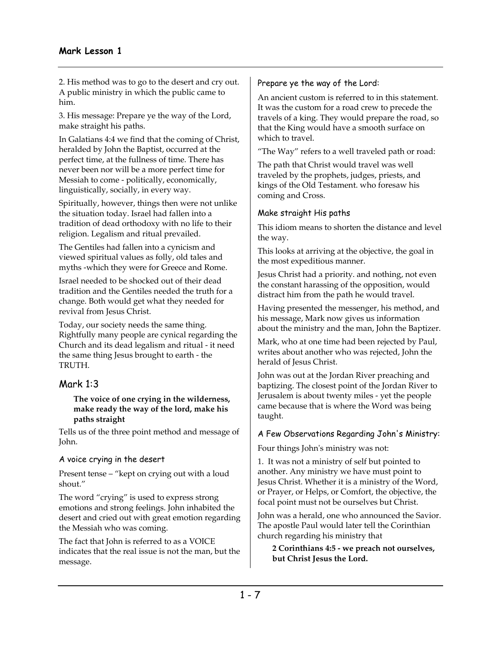2. His method was to go to the desert and cry out. A public ministry in which the public came to him.

3. His message: Prepare ye the way of the Lord, make straight his paths.

In Galatians 4:4 we find that the coming of Christ, heralded by John the Baptist, occurred at the perfect time, at the fullness of time. There has never been nor will be a more perfect time for Messiah to come - politically, economically, linguistically, socially, in every way.

Spiritually, however, things then were not unlike the situation today. Israel had fallen into a tradition of dead orthodoxy with no life to their religion. Legalism and ritual prevailed.

The Gentiles had fallen into a cynicism and viewed spiritual values as folly, old tales and myths -which they were for Greece and Rome.

Israel needed to be shocked out of their dead tradition and the Gentiles needed the truth for a change. Both would get what they needed for revival from Jesus Christ.

Today, our society needs the same thing. Rightfully many people are cynical regarding the Church and its dead legalism and ritual - it need the same thing Jesus brought to earth - the TRUTH.

# Mark 1:3

**The voice of one crying in the wilderness, make ready the way of the lord, make his paths straight** 

Tells us of the three point method and message of John.

#### A voice crying in the desert

Present tense – "kept on crying out with a loud shout."

The word "crying" is used to express strong emotions and strong feelings. John inhabited the desert and cried out with great emotion regarding the Messiah who was coming.

The fact that John is referred to as a VOICE indicates that the real issue is not the man, but the message.

### Prepare ye the way of the Lord:

An ancient custom is referred to in this statement. It was the custom for a road crew to precede the travels of a king. They would prepare the road, so that the King would have a smooth surface on which to travel.

"The Way" refers to a well traveled path or road:

The path that Christ would travel was well traveled by the prophets, judges, priests, and kings of the Old Testament. who foresaw his coming and Cross.

## Make straight His paths

This idiom means to shorten the distance and level the way.

This looks at arriving at the objective, the goal in the most expeditious manner.

Jesus Christ had a priority. and nothing, not even the constant harassing of the opposition, would distract him from the path he would travel.

Having presented the messenger, his method, and his message, Mark now gives us information about the ministry and the man, John the Baptizer.

Mark, who at one time had been rejected by Paul, writes about another who was rejected, John the herald of Jesus Christ.

John was out at the Jordan River preaching and baptizing. The closest point of the Jordan River to Jerusalem is about twenty miles - yet the people came because that is where the Word was being taught.

## A Few Observations Regarding John's Ministry:

Four things John's ministry was not:

1. It was not a ministry of self but pointed to another. Any ministry we have must point to Jesus Christ. Whether it is a ministry of the Word, or Prayer, or Helps, or Comfort, the objective, the focal point must not be ourselves but Christ.

John was a herald, one who announced the Savior. The apostle Paul would later tell the Corinthian church regarding his ministry that

**2 Corinthians 4:5 - we preach not ourselves, but Christ Jesus the Lord.**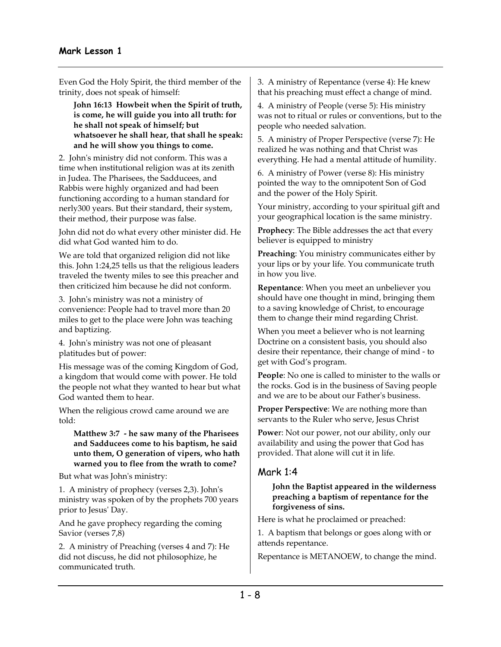Even God the Holy Spirit, the third member of the trinity, does not speak of himself:

**John 16:13 Howbeit when the Spirit of truth, is come, he will guide you into all truth: for he shall not speak of himself; but whatsoever he shall hear, that shall he speak: and he will show you things to come.** 

2. John's ministry did not conform. This was a time when institutional religion was at its zenith in Judea. The Pharisees, the Sadducees, and Rabbis were highly organized and had been functioning according to a human standard for nerly300 years. But their standard, their system, their method, their purpose was false.

John did not do what every other minister did. He did what God wanted him to do.

We are told that organized religion did not like this. John 1:24,25 tells us that the religious leaders traveled the twenty miles to see this preacher and then criticized him because he did not conform.

3. John's ministry was not a ministry of convenience: People had to travel more than 20 miles to get to the place were John was teaching and baptizing.

4. John's ministry was not one of pleasant platitudes but of power:

His message was of the coming Kingdom of God, a kingdom that would come with power. He told the people not what they wanted to hear but what God wanted them to hear.

When the religious crowd came around we are told:

**Matthew 3:7 - he saw many of the Pharisees and Sadducees come to his baptism, he said unto them, O generation of vipers, who hath warned you to flee from the wrath to come?** 

But what was John's ministry:

1. A ministry of prophecy (verses 2,3). John's ministry was spoken of by the prophets 700 years prior to Jesus' Day.

And he gave prophecy regarding the coming Savior (verses 7,8)

2. A ministry of Preaching (verses 4 and 7): He did not discuss, he did not philosophize, he communicated truth.

3. A ministry of Repentance (verse 4): He knew that his preaching must effect a change of mind.

4. A ministry of People (verse 5): His ministry was not to ritual or rules or conventions, but to the people who needed salvation.

5. A ministry of Proper Perspective (verse 7): He realized he was nothing and that Christ was everything. He had a mental attitude of humility.

6. A ministry of Power (verse 8): His ministry pointed the way to the omnipotent Son of God and the power of the Holy Spirit.

Your ministry, according to your spiritual gift and your geographical location is the same ministry.

**Prophecy**: The Bible addresses the act that every believer is equipped to ministry

**Preaching**: You ministry communicates either by your lips or by your life. You communicate truth in how you live.

**Repentance**: When you meet an unbeliever you should have one thought in mind, bringing them to a saving knowledge of Christ, to encourage them to change their mind regarding Christ.

When you meet a believer who is not learning Doctrine on a consistent basis, you should also desire their repentance, their change of mind - to get with God's program.

**People**: No one is called to minister to the walls or the rocks. God is in the business of Saving people and we are to be about our Father's business.

**Proper Perspective**: We are nothing more than servants to the Ruler who serve, Jesus Christ

**Powe**r: Not our power, not our ability, only our availability and using the power that God has provided. That alone will cut it in life.

# Mark 1:4

**John the Baptist appeared in the wilderness preaching a baptism of repentance for the forgiveness of sins.** 

Here is what he proclaimed or preached:

1. A baptism that belongs or goes along with or attends repentance.

Repentance is METANOEW, to change the mind.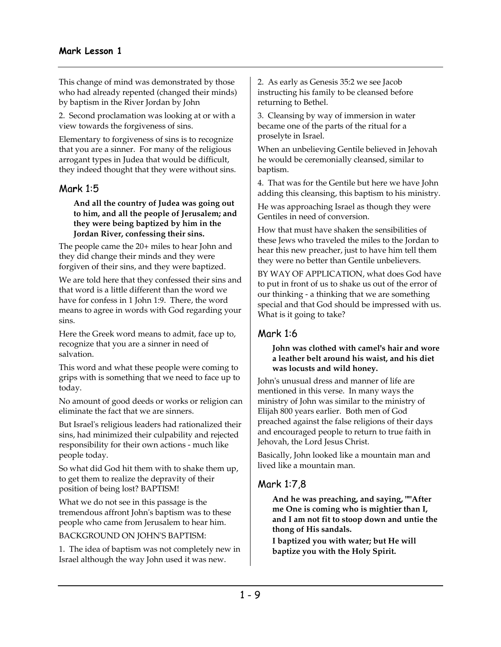This change of mind was demonstrated by those who had already repented (changed their minds) by baptism in the River Jordan by John

2. Second proclamation was looking at or with a view towards the forgiveness of sins.

Elementary to forgiveness of sins is to recognize that you are a sinner. For many of the religious arrogant types in Judea that would be difficult, they indeed thought that they were without sins.

# Ma**r**k 1:5

**And all the country of Judea was going out to him, and all the people of Jerusalem; and they were being baptized by him in the Jordan River, confessing their sins.** 

The people came the 20+ miles to hear John and they did change their minds and they were forgiven of their sins, and they were baptized.

We are told here that they confessed their sins and that word is a little different than the word we have for confess in 1 John 1:9. There, the word means to agree in words with God regarding your sins.

Here the Greek word means to admit, face up to, recognize that you are a sinner in need of salvation.

This word and what these people were coming to grips with is something that we need to face up to today.

No amount of good deeds or works or religion can eliminate the fact that we are sinners.

But Israel's religious leaders had rationalized their sins, had minimized their culpability and rejected responsibility for their own actions - much like people today.

So what did God hit them with to shake them up, to get them to realize the depravity of their position of being lost? BAPTISM!

What we do not see in this passage is the tremendous affront John's baptism was to these people who came from Jerusalem to hear him.

#### BACKGROUND ON JOHN'S BAPTISM:

1. The idea of baptism was not completely new in Israel although the way John used it was new.

2. As early as Genesis 35:2 we see Jacob instructing his family to be cleansed before returning to Bethel.

3. Cleansing by way of immersion in water became one of the parts of the ritual for a proselyte in Israel.

When an unbelieving Gentile believed in Jehovah he would be ceremonially cleansed, similar to baptism.

4. That was for the Gentile but here we have John adding this cleansing, this baptism to his ministry.

He was approaching Israel as though they were Gentiles in need of conversion.

How that must have shaken the sensibilities of these Jews who traveled the miles to the Jordan to hear this new preacher, just to have him tell them they were no better than Gentile unbelievers.

BY WAY OF APPLICATION, what does God have to put in front of us to shake us out of the error of our thinking - a thinking that we are something special and that God should be impressed with us. What is it going to take?

# Mark 1:6

#### **John was clothed with camel's hair and wore a leather belt around his waist, and his diet was locusts and wild honey.**

John's unusual dress and manner of life are mentioned in this verse. In many ways the ministry of John was similar to the ministry of Elijah 800 years earlier. Both men of God preached against the false religions of their days and encouraged people to return to true faith in Jehovah, the Lord Jesus Christ.

Basically, John looked like a mountain man and lived like a mountain man.

# Mark 1:7,8

**And he was preaching, and saying, ""After me One is coming who is mightier than I, and I am not fit to stoop down and untie the thong of His sandals.** 

**I baptized you with water; but He will baptize you with the Holy Spirit.**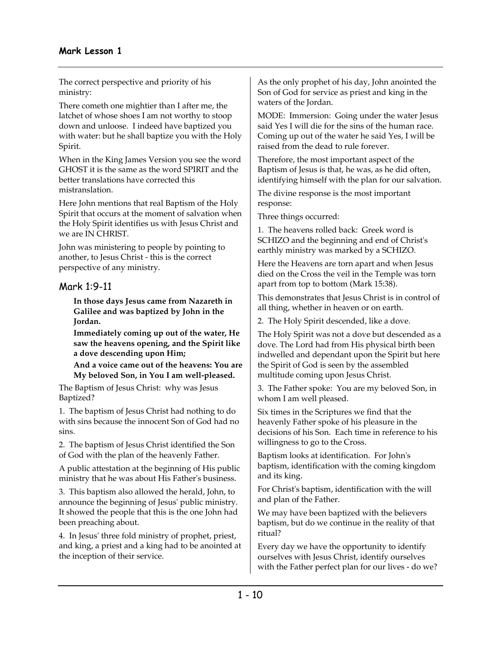The correct perspective and priority of his ministry:

There cometh one mightier than I after me, the latchet of whose shoes I am not worthy to stoop down and unloose. I indeed have baptized you with water: but he shall baptize you with the Holy Spirit.

When in the King James Version you see the word GHOST it is the same as the word SPIRIT and the better translations have corrected this mistranslation.

Here John mentions that real Baptism of the Holy Spirit that occurs at the moment of salvation when the Holy Spirit identifies us with Jesus Christ and we are IN CHRIST.

John was ministering to people by pointing to another, to Jesus Christ - this is the correct perspective of any ministry.

# Mark 1:9-11

**In those days Jesus came from Nazareth in Galilee and was baptized by John in the Jordan.** 

**Immediately coming up out of the water, He saw the heavens opening, and the Spirit like a dove descending upon Him;** 

**And a voice came out of the heavens: You are My beloved Son, in You I am well-pleased.** 

The Baptism of Jesus Christ: why was Jesus Baptized?

1. The baptism of Jesus Christ had nothing to do with sins because the innocent Son of God had no sins.

2. The baptism of Jesus Christ identified the Son of God with the plan of the heavenly Father.

A public attestation at the beginning of His public ministry that he was about His Father's business.

3. This baptism also allowed the herald, John, to announce the beginning of Jesus' public ministry. It showed the people that this is the one John had been preaching about.

4. In Jesus' three fold ministry of prophet, priest, and king, a priest and a king had to be anointed at the inception of their service.

As the only prophet of his day, John anointed the Son of God for service as priest and king in the waters of the Jordan.

MODE: Immersion: Going under the water Jesus said Yes I will die for the sins of the human race. Coming up out of the water he said Yes, I will be raised from the dead to rule forever.

Therefore, the most important aspect of the Baptism of Jesus is that, he was, as he did often, identifying himself with the plan for our salvation.

The divine response is the most important response:

Three things occurred:

1. The heavens rolled back: Greek word is SCHIZO and the beginning and end of Christ's earthly ministry was marked by a SCHIZO.

Here the Heavens are torn apart and when Jesus died on the Cross the veil in the Temple was torn apart from top to bottom (Mark 15:38).

This demonstrates that Jesus Christ is in control of all thing, whether in heaven or on earth.

2. The Holy Spirit descended, like a dove.

The Holy Spirit was not a dove but descended as a dove. The Lord had from His physical birth been indwelled and dependant upon the Spirit but here the Spirit of God is seen by the assembled multitude coming upon Jesus Christ.

3. The Father spoke: You are my beloved Son, in whom I am well pleased.

Six times in the Scriptures we find that the heavenly Father spoke of his pleasure in the decisions of his Son. Each time in reference to his willingness to go to the Cross.

Baptism looks at identification. For John's baptism, identification with the coming kingdom and its king.

For Christ's baptism, identification with the will and plan of the Father.

We may have been baptized with the believers baptism, but do we continue in the reality of that ritual?

Every day we have the opportunity to identify ourselves with Jesus Christ, identify ourselves with the Father perfect plan for our lives - do we?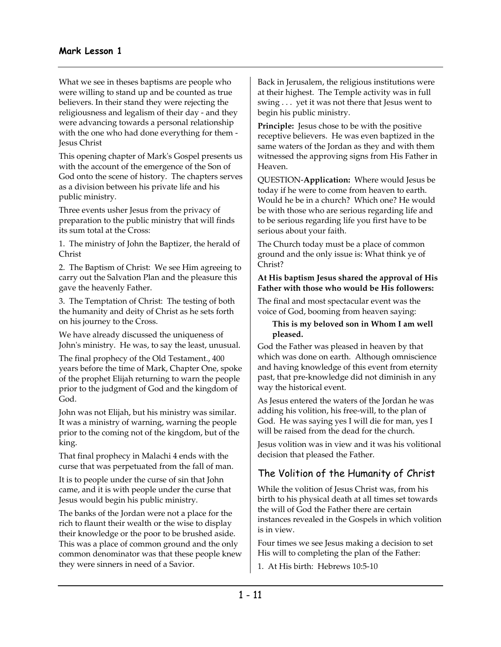What we see in theses baptisms are people who were willing to stand up and be counted as true believers. In their stand they were rejecting the religiousness and legalism of their day - and they were advancing towards a personal relationship with the one who had done everything for them - Jesus Christ

This opening chapter of Mark's Gospel presents us with the account of the emergence of the Son of God onto the scene of history. The chapters serves as a division between his private life and his public ministry.

Three events usher Jesus from the privacy of preparation to the public ministry that will finds its sum total at the Cross:

1. The ministry of John the Baptizer, the herald of Christ

2. The Baptism of Christ: We see Him agreeing to carry out the Salvation Plan and the pleasure this gave the heavenly Father.

3. The Temptation of Christ: The testing of both the humanity and deity of Christ as he sets forth on his journey to the Cross.

We have already discussed the uniqueness of John's ministry. He was, to say the least, unusual.

The final prophecy of the Old Testament., 400 years before the time of Mark, Chapter One, spoke of the prophet Elijah returning to warn the people prior to the judgment of God and the kingdom of God.

John was not Elijah, but his ministry was similar. It was a ministry of warning, warning the people prior to the coming not of the kingdom, but of the king.

That final prophecy in Malachi 4 ends with the curse that was perpetuated from the fall of man.

It is to people under the curse of sin that John came, and it is with people under the curse that Jesus would begin his public ministry.

The banks of the Jordan were not a place for the rich to flaunt their wealth or the wise to display their knowledge or the poor to be brushed aside. This was a place of common ground and the only common denominator was that these people knew they were sinners in need of a Savior.

Back in Jerusalem, the religious institutions were at their highest. The Temple activity was in full swing . . . yet it was not there that Jesus went to begin his public ministry.

**Principle:** Jesus chose to be with the positive receptive believers. He was even baptized in the same waters of the Jordan as they and with them witnessed the approving signs from His Father in Heaven.

QUESTION-**Application:** Where would Jesus be today if he were to come from heaven to earth. Would he be in a church? Which one? He would be with those who are serious regarding life and to be serious regarding life you first have to be serious about your faith.

The Church today must be a place of common ground and the only issue is: What think ye of Christ?

#### **At His baptism Jesus shared the approval of His Father with those who would be His followers:**

The final and most spectacular event was the voice of God, booming from heaven saying:

#### **This is my beloved son in Whom I am well pleased.**

God the Father was pleased in heaven by that which was done on earth. Although omniscience and having knowledge of this event from eternity past, that pre-knowledge did not diminish in any way the historical event.

As Jesus entered the waters of the Jordan he was adding his volition, his free-will, to the plan of God. He was saying yes I will die for man, yes I will be raised from the dead for the church.

Jesus volition was in view and it was his volitional decision that pleased the Father.

# The Volition of the Humanity of Christ

While the volition of Jesus Christ was, from his birth to his physical death at all times set towards the will of God the Father there are certain instances revealed in the Gospels in which volition is in view.

Four times we see Jesus making a decision to set His will to completing the plan of the Father:

1. At His birth: Hebrews 10:5-10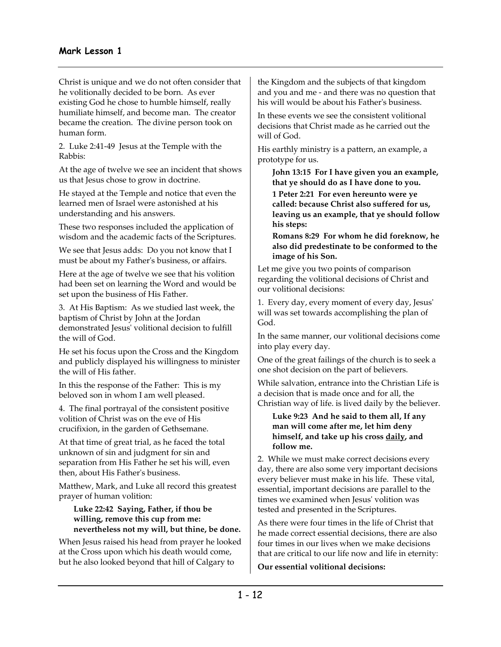Christ is unique and we do not often consider that he volitionally decided to be born. As ever existing God he chose to humble himself, really humiliate himself, and become man. The creator became the creation. The divine person took on human form.

2. Luke 2:41-49 Jesus at the Temple with the Rabbis:

At the age of twelve we see an incident that shows us that Jesus chose to grow in doctrine.

He stayed at the Temple and notice that even the learned men of Israel were astonished at his understanding and his answers.

These two responses included the application of wisdom and the academic facts of the Scriptures.

We see that Jesus adds: Do you not know that I must be about my Father's business, or affairs.

Here at the age of twelve we see that his volition had been set on learning the Word and would be set upon the business of His Father.

3. At His Baptism: As we studied last week, the baptism of Christ by John at the Jordan demonstrated Jesus' volitional decision to fulfill the will of God.

He set his focus upon the Cross and the Kingdom and publicly displayed his willingness to minister the will of His father.

In this the response of the Father: This is my beloved son in whom I am well pleased.

4. The final portrayal of the consistent positive volition of Christ was on the eve of His crucifixion, in the garden of Gethsemane.

At that time of great trial, as he faced the total unknown of sin and judgment for sin and separation from His Father he set his will, even then, about His Father's business.

Matthew, Mark, and Luke all record this greatest prayer of human volition:

**Luke 22:42 Saying, Father, if thou be willing, remove this cup from me: nevertheless not my will, but thine, be done.** 

When Jesus raised his head from prayer he looked at the Cross upon which his death would come, but he also looked beyond that hill of Calgary to

the Kingdom and the subjects of that kingdom and you and me - and there was no question that his will would be about his Father's business.

In these events we see the consistent volitional decisions that Christ made as he carried out the will of God.

His earthly ministry is a pattern, an example, a prototype for us.

**John 13:15 For I have given you an example, that ye should do as I have done to you.** 

**1 Peter 2:21 For even hereunto were ye called: because Christ also suffered for us, leaving us an example, that ye should follow his steps:** 

**Romans 8:29 For whom he did foreknow, he also did predestinate to be conformed to the image of his Son.** 

Let me give you two points of comparison regarding the volitional decisions of Christ and our volitional decisions:

1. Every day, every moment of every day, Jesus' will was set towards accomplishing the plan of God.

In the same manner, our volitional decisions come into play every day.

One of the great failings of the church is to seek a one shot decision on the part of believers.

While salvation, entrance into the Christian Life is a decision that is made once and for all, the Christian way of life. is lived daily by the believer.

**Luke 9:23 And he said to them all, If any man will come after me, let him deny himself, and take up his cross daily, and follow me.** 

2. While we must make correct decisions every day, there are also some very important decisions every believer must make in his life. These vital, essential, important decisions are parallel to the times we examined when Jesus' volition was tested and presented in the Scriptures.

As there were four times in the life of Christ that he made correct essential decisions, there are also four times in our lives when we make decisions that are critical to our life now and life in eternity:

**Our essential volitional decisions:**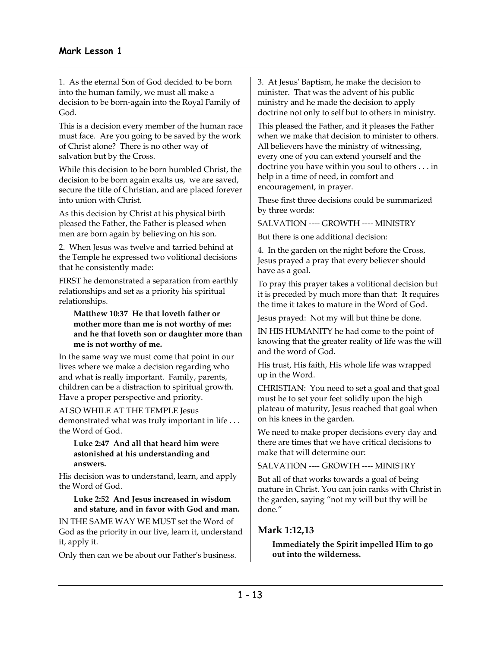1. As the eternal Son of God decided to be born into the human family, we must all make a decision to be born-again into the Royal Family of God.

This is a decision every member of the human race must face. Are you going to be saved by the work of Christ alone? There is no other way of salvation but by the Cross.

While this decision to be born humbled Christ, the decision to be born again exalts us, we are saved, secure the title of Christian, and are placed forever into union with Christ.

As this decision by Christ at his physical birth pleased the Father, the Father is pleased when men are born again by believing on his son.

2. When Jesus was twelve and tarried behind at the Temple he expressed two volitional decisions that he consistently made:

FIRST he demonstrated a separation from earthly relationships and set as a priority his spiritual relationships.

**Matthew 10:37 He that loveth father or mother more than me is not worthy of me: and he that loveth son or daughter more than me is not worthy of me.** 

In the same way we must come that point in our lives where we make a decision regarding who and what is really important. Family, parents, children can be a distraction to spiritual growth. Have a proper perspective and priority.

ALSO WHILE AT THE TEMPLE Jesus demonstrated what was truly important in life . . . the Word of God.

**Luke 2:47 And all that heard him were astonished at his understanding and answers.** 

His decision was to understand, learn, and apply the Word of God.

**Luke 2:52 And Jesus increased in wisdom and stature, and in favor with God and man.** 

IN THE SAME WAY WE MUST set the Word of God as the priority in our live, learn it, understand it, apply it.

Only then can we be about our Father's business.

3. At Jesus' Baptism, he make the decision to minister. That was the advent of his public ministry and he made the decision to apply doctrine not only to self but to others in ministry.

This pleased the Father, and it pleases the Father when we make that decision to minister to others. All believers have the ministry of witnessing, every one of you can extend yourself and the doctrine you have within you soul to others . . . in help in a time of need, in comfort and encouragement, in prayer.

These first three decisions could be summarized by three words:

SALVATION ---- GROWTH ---- MINISTRY

But there is one additional decision:

4. In the garden on the night before the Cross, Jesus prayed a pray that every believer should have as a goal.

To pray this prayer takes a volitional decision but it is preceded by much more than that: It requires the time it takes to mature in the Word of God.

Jesus prayed: Not my will but thine be done.

IN HIS HUMANITY he had come to the point of knowing that the greater reality of life was the will and the word of God.

His trust, His faith, His whole life was wrapped up in the Word.

CHRISTIAN: You need to set a goal and that goal must be to set your feet solidly upon the high plateau of maturity, Jesus reached that goal when on his knees in the garden.

We need to make proper decisions every day and there are times that we have critical decisions to make that will determine our:

SALVATION ---- GROWTH ---- MINISTRY

But all of that works towards a goal of being mature in Christ. You can join ranks with Christ in the garden, saying "not my will but thy will be done."

## **Mark 1:12,13**

**Immediately the Spirit impelled Him to go out into the wilderness.**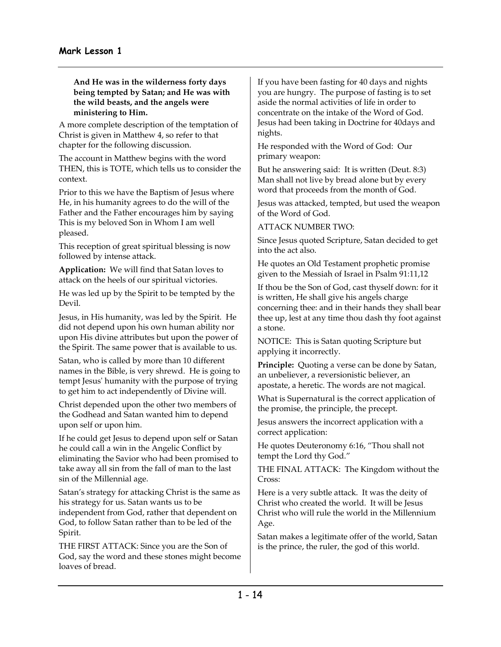**And He was in the wilderness forty days being tempted by Satan; and He was with the wild beasts, and the angels were ministering to Him.** 

A more complete description of the temptation of Christ is given in Matthew 4, so refer to that chapter for the following discussion.

The account in Matthew begins with the word THEN, this is TOTE, which tells us to consider the context.

Prior to this we have the Baptism of Jesus where He, in his humanity agrees to do the will of the Father and the Father encourages him by saying This is my beloved Son in Whom I am well pleased.

This reception of great spiritual blessing is now followed by intense attack.

**Application:** We will find that Satan loves to attack on the heels of our spiritual victories.

He was led up by the Spirit to be tempted by the Devil.

Jesus, in His humanity, was led by the Spirit. He did not depend upon his own human ability nor upon His divine attributes but upon the power of the Spirit. The same power that is available to us.

Satan, who is called by more than 10 different names in the Bible, is very shrewd. He is going to tempt Jesus' humanity with the purpose of trying to get him to act independently of Divine will.

Christ depended upon the other two members of the Godhead and Satan wanted him to depend upon self or upon him.

If he could get Jesus to depend upon self or Satan he could call a win in the Angelic Conflict by eliminating the Savior who had been promised to take away all sin from the fall of man to the last sin of the Millennial age.

Satan's strategy for attacking Christ is the same as his strategy for us. Satan wants us to be independent from God, rather that dependent on God, to follow Satan rather than to be led of the Spirit.

THE FIRST ATTACK: Since you are the Son of God, say the word and these stones might become loaves of bread.

If you have been fasting for 40 days and nights you are hungry. The purpose of fasting is to set aside the normal activities of life in order to concentrate on the intake of the Word of God. Jesus had been taking in Doctrine for 40days and nights.

He responded with the Word of God: Our primary weapon:

But he answering said: It is written (Deut. 8:3) Man shall not live by bread alone but by every word that proceeds from the month of God.

Jesus was attacked, tempted, but used the weapon of the Word of God.

ATTACK NUMBER TWO:

Since Jesus quoted Scripture, Satan decided to get into the act also.

He quotes an Old Testament prophetic promise given to the Messiah of Israel in Psalm 91:11,12

If thou be the Son of God, cast thyself down: for it is written, He shall give his angels charge concerning thee: and in their hands they shall bear thee up, lest at any time thou dash thy foot against a stone.

NOTICE: This is Satan quoting Scripture but applying it incorrectly.

**Principle:** Quoting a verse can be done by Satan, an unbeliever, a reversionistic believer, an apostate, a heretic. The words are not magical.

What is Supernatural is the correct application of the promise, the principle, the precept.

Jesus answers the incorrect application with a correct application:

He quotes Deuteronomy 6:16, "Thou shall not tempt the Lord thy God."

THE FINAL ATTACK: The Kingdom without the Cross:

Here is a very subtle attack. It was the deity of Christ who created the world. It will be Jesus Christ who will rule the world in the Millennium Age.

Satan makes a legitimate offer of the world, Satan is the prince, the ruler, the god of this world.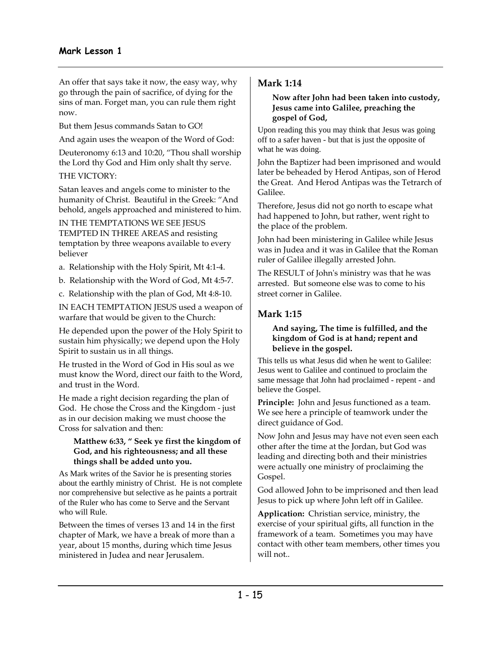An offer that says take it now, the easy way, why go through the pain of sacrifice, of dying for the sins of man. Forget man, you can rule them right now.

But them Jesus commands Satan to GO!

And again uses the weapon of the Word of God:

Deuteronomy 6:13 and 10:20, "Thou shall worship the Lord thy God and Him only shalt thy serve.

THE VICTORY:

Satan leaves and angels come to minister to the humanity of Christ. Beautiful in the Greek: "And behold, angels approached and ministered to him.

IN THE TEMPTATIONS WE SEE JESUS TEMPTED IN THREE AREAS and resisting temptation by three weapons available to every believer

- a. Relationship with the Holy Spirit, Mt 4:1-4.
- b. Relationship with the Word of God, Mt 4:5-7.
- c. Relationship with the plan of God, Mt 4:8-10.

IN EACH TEMPTATION JESUS used a weapon of warfare that would be given to the Church:

He depended upon the power of the Holy Spirit to sustain him physically; we depend upon the Holy Spirit to sustain us in all things.

He trusted in the Word of God in His soul as we must know the Word, direct our faith to the Word, and trust in the Word.

He made a right decision regarding the plan of God. He chose the Cross and the Kingdom - just as in our decision making we must choose the Cross for salvation and then:

#### **Matthew 6:33, " Seek ye first the kingdom of God, and his righteousness; and all these things shall be added unto you.**

As Mark writes of the Savior he is presenting stories about the earthly ministry of Christ. He is not complete nor comprehensive but selective as he paints a portrait of the Ruler who has come to Serve and the Servant who will Rule.

Between the times of verses 13 and 14 in the first chapter of Mark, we have a break of more than a year, about 15 months, during which time Jesus ministered in Judea and near Jerusalem.

## **Mark 1:14**

#### **Now after John had been taken into custody, Jesus came into Galilee, preaching the gospel of God,**

Upon reading this you may think that Jesus was going off to a safer haven - but that is just the opposite of what he was doing.

John the Baptizer had been imprisoned and would later be beheaded by Herod Antipas, son of Herod the Great. And Herod Antipas was the Tetrarch of Galilee.

Therefore, Jesus did not go north to escape what had happened to John, but rather, went right to the place of the problem.

John had been ministering in Galilee while Jesus was in Judea and it was in Galilee that the Roman ruler of Galilee illegally arrested John.

The RESULT of John's ministry was that he was arrested. But someone else was to come to his street corner in Galilee.

# **Mark 1:15**

#### **And saying, The time is fulfilled, and the kingdom of God is at hand; repent and believe in the gospel.**

This tells us what Jesus did when he went to Galilee: Jesus went to Galilee and continued to proclaim the same message that John had proclaimed - repent - and believe the Gospel.

**Principle:** John and Jesus functioned as a team. We see here a principle of teamwork under the direct guidance of God.

Now John and Jesus may have not even seen each other after the time at the Jordan, but God was leading and directing both and their ministries were actually one ministry of proclaiming the Gospel.

God allowed John to be imprisoned and then lead Jesus to pick up where John left off in Galilee.

**Application:** Christian service, ministry, the exercise of your spiritual gifts, all function in the framework of a team. Sometimes you may have contact with other team members, other times you will not..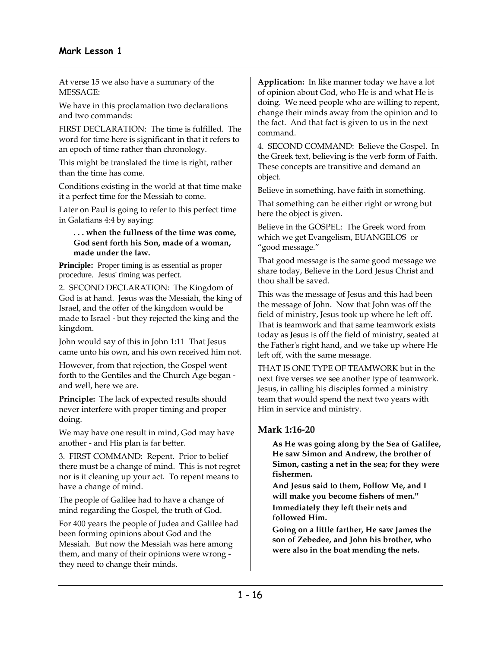At verse 15 we also have a summary of the MESSAGE:

We have in this proclamation two declarations and two commands:

FIRST DECLARATION: The time is fulfilled. The word for time here is significant in that it refers to an epoch of time rather than chronology.

This might be translated the time is right, rather than the time has come.

Conditions existing in the world at that time make it a perfect time for the Messiah to come.

Later on Paul is going to refer to this perfect time in Galatians 4:4 by saying:

**. . . when the fullness of the time was come, God sent forth his Son, made of a woman, made under the law.** 

**Principle:** Proper timing is as essential as proper procedure. Jesus' timing was perfect.

2. SECOND DECLARATION: The Kingdom of God is at hand. Jesus was the Messiah, the king of Israel, and the offer of the kingdom would be made to Israel - but they rejected the king and the kingdom.

John would say of this in John 1:11 That Jesus came unto his own, and his own received him not.

However, from that rejection, the Gospel went forth to the Gentiles and the Church Age began and well, here we are.

**Principle:** The lack of expected results should never interfere with proper timing and proper doing.

We may have one result in mind, God may have another - and His plan is far better.

3. FIRST COMMAND: Repent. Prior to belief there must be a change of mind. This is not regret nor is it cleaning up your act. To repent means to have a change of mind.

The people of Galilee had to have a change of mind regarding the Gospel, the truth of God.

For 400 years the people of Judea and Galilee had been forming opinions about God and the Messiah. But now the Messiah was here among them, and many of their opinions were wrong they need to change their minds.

**Application:** In like manner today we have a lot of opinion about God, who He is and what He is doing. We need people who are willing to repent, change their minds away from the opinion and to the fact. And that fact is given to us in the next command.

4. SECOND COMMAND: Believe the Gospel. In the Greek text, believing is the verb form of Faith. These concepts are transitive and demand an object.

Believe in something, have faith in something.

That something can be either right or wrong but here the object is given.

Believe in the GOSPEL: The Greek word from which we get Evangelism, EUANGELOS or "good message."

That good message is the same good message we share today, Believe in the Lord Jesus Christ and thou shall be saved.

This was the message of Jesus and this had been the message of John. Now that John was off the field of ministry, Jesus took up where he left off. That is teamwork and that same teamwork exists today as Jesus is off the field of ministry, seated at the Father's right hand, and we take up where He left off, with the same message.

THAT IS ONE TYPE OF TEAMWORK but in the next five verses we see another type of teamwork. Jesus, in calling his disciples formed a ministry team that would spend the next two years with Him in service and ministry.

# **Mark 1:16-20**

**As He was going along by the Sea of Galilee, He saw Simon and Andrew, the brother of Simon, casting a net in the sea; for they were fishermen.** 

**And Jesus said to them, Follow Me, and I will make you become fishers of men.'' Immediately they left their nets and followed Him.** 

**Going on a little farther, He saw James the son of Zebedee, and John his brother, who were also in the boat mending the nets.**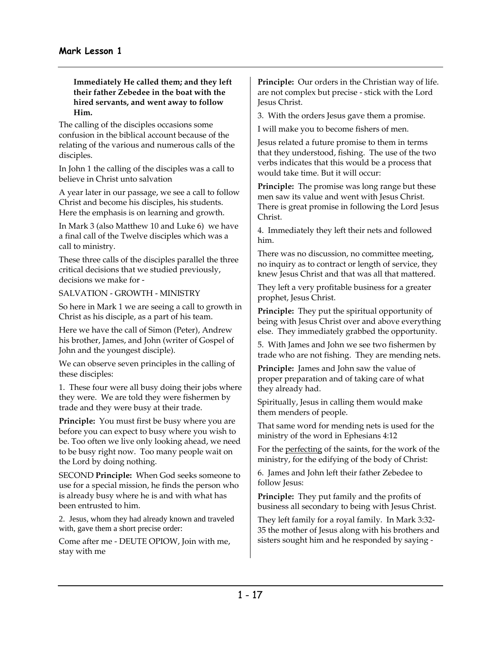#### **Immediately He called them; and they left their father Zebedee in the boat with the hired servants, and went away to follow Him.**

The calling of the disciples occasions some confusion in the biblical account because of the relating of the various and numerous calls of the disciples.

In John 1 the calling of the disciples was a call to believe in Christ unto salvation

A year later in our passage, we see a call to follow Christ and become his disciples, his students. Here the emphasis is on learning and growth.

In Mark 3 (also Matthew 10 and Luke 6) we have a final call of the Twelve disciples which was a call to ministry.

These three calls of the disciples parallel the three critical decisions that we studied previously, decisions we make for -

SALVATION - GROWTH - MINISTRY

So here in Mark 1 we are seeing a call to growth in Christ as his disciple, as a part of his team.

Here we have the call of Simon (Peter), Andrew his brother, James, and John (writer of Gospel of John and the youngest disciple).

We can observe seven principles in the calling of these disciples:

1. These four were all busy doing their jobs where they were. We are told they were fishermen by trade and they were busy at their trade.

**Principle:** You must first be busy where you are before you can expect to busy where you wish to be. Too often we live only looking ahead, we need to be busy right now. Too many people wait on the Lord by doing nothing.

SECOND **Principle:** When God seeks someone to use for a special mission, he finds the person who is already busy where he is and with what has been entrusted to him.

2. Jesus, whom they had already known and traveled with, gave them a short precise order:

Come after me - DEUTE OPIOW, Join with me, stay with me

**Principle:** Our orders in the Christian way of life. are not complex but precise - stick with the Lord Jesus Christ.

3. With the orders Jesus gave them a promise.

I will make you to become fishers of men.

Jesus related a future promise to them in terms that they understood, fishing. The use of the two verbs indicates that this would be a process that would take time. But it will occur:

**Principle:** The promise was long range but these men saw its value and went with Jesus Christ. There is great promise in following the Lord Jesus Christ.

4. Immediately they left their nets and followed him.

There was no discussion, no committee meeting, no inquiry as to contract or length of service, they knew Jesus Christ and that was all that mattered.

They left a very profitable business for a greater prophet, Jesus Christ.

**Principle:** They put the spiritual opportunity of being with Jesus Christ over and above everything else. They immediately grabbed the opportunity.

5. With James and John we see two fishermen by trade who are not fishing. They are mending nets.

**Principle:** James and John saw the value of proper preparation and of taking care of what they already had.

Spiritually, Jesus in calling them would make them menders of people.

That same word for mending nets is used for the ministry of the word in Ephesians 4:12

For the perfecting of the saints, for the work of the ministry, for the edifying of the body of Christ:

6. James and John left their father Zebedee to follow Jesus:

**Principle:** They put family and the profits of business all secondary to being with Jesus Christ.

They left family for a royal family. In Mark 3:32- 35 the mother of Jesus along with his brothers and sisters sought him and he responded by saying -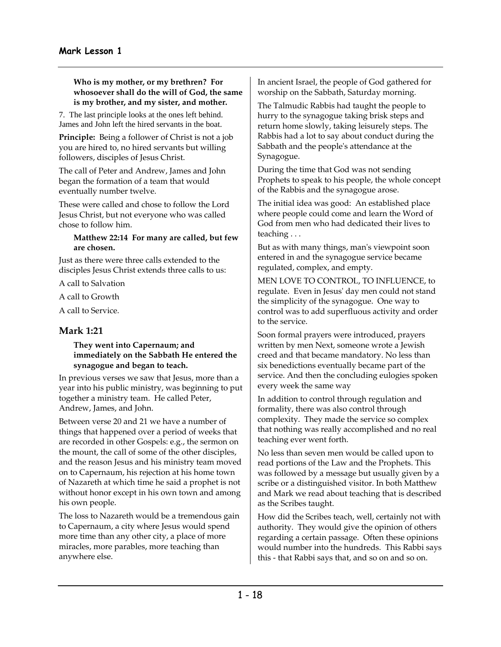**Who is my mother, or my brethren? For whosoever shall do the will of God, the same is my brother, and my sister, and mother.** 

7. The last principle looks at the ones left behind. James and John left the hired servants in the boat.

**Principle:** Being a follower of Christ is not a job you are hired to, no hired servants but willing followers, disciples of Jesus Christ.

The call of Peter and Andrew, James and John began the formation of a team that would eventually number twelve.

These were called and chose to follow the Lord Jesus Christ, but not everyone who was called chose to follow him.

#### **Matthew 22:14 For many are called, but few are chosen.**

Just as there were three calls extended to the disciples Jesus Christ extends three calls to us:

A call to Salvation

A call to Growth

A call to Service.

## **Mark 1:21**

#### **They went into Capernaum; and immediately on the Sabbath He entered the synagogue and began to teach.**

In previous verses we saw that Jesus, more than a year into his public ministry, was beginning to put together a ministry team. He called Peter, Andrew, James, and John.

Between verse 20 and 21 we have a number of things that happened over a period of weeks that are recorded in other Gospels: e.g., the sermon on the mount, the call of some of the other disciples, and the reason Jesus and his ministry team moved on to Capernaum, his rejection at his home town of Nazareth at which time he said a prophet is not without honor except in his own town and among his own people.

The loss to Nazareth would be a tremendous gain to Capernaum, a city where Jesus would spend more time than any other city, a place of more miracles, more parables, more teaching than anywhere else.

In ancient Israel, the people of God gathered for worship on the Sabbath, Saturday morning.

The Talmudic Rabbis had taught the people to hurry to the synagogue taking brisk steps and return home slowly, taking leisurely steps. The Rabbis had a lot to say about conduct during the Sabbath and the people's attendance at the Synagogue.

During the time that God was not sending Prophets to speak to his people, the whole concept of the Rabbis and the synagogue arose.

The initial idea was good: An established place where people could come and learn the Word of God from men who had dedicated their lives to teaching . . .

But as with many things, man's viewpoint soon entered in and the synagogue service became regulated, complex, and empty.

MEN LOVE TO CONTROL, TO INFLUENCE, to regulate. Even in Jesus' day men could not stand the simplicity of the synagogue. One way to control was to add superfluous activity and order to the service.

Soon formal prayers were introduced, prayers written by men Next, someone wrote a Jewish creed and that became mandatory. No less than six benedictions eventually became part of the service. And then the concluding eulogies spoken every week the same way

In addition to control through regulation and formality, there was also control through complexity. They made the service so complex that nothing was really accomplished and no real teaching ever went forth.

No less than seven men would be called upon to read portions of the Law and the Prophets. This was followed by a message but usually given by a scribe or a distinguished visitor. In both Matthew and Mark we read about teaching that is described as the Scribes taught.

How did the Scribes teach, well, certainly not with authority. They would give the opinion of others regarding a certain passage. Often these opinions would number into the hundreds. This Rabbi says this - that Rabbi says that, and so on and so on.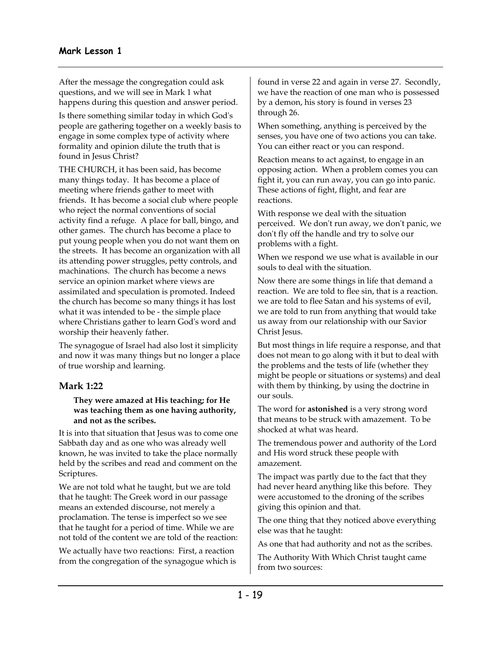After the message the congregation could ask questions, and we will see in Mark 1 what happens during this question and answer period.

Is there something similar today in which God's people are gathering together on a weekly basis to engage in some complex type of activity where formality and opinion dilute the truth that is found in Jesus Christ?

THE CHURCH, it has been said, has become many things today. It has become a place of meeting where friends gather to meet with friends. It has become a social club where people who reject the normal conventions of social activity find a refuge. A place for ball, bingo, and other games. The church has become a place to put young people when you do not want them on the streets. It has become an organization with all its attending power struggles, petty controls, and machinations. The church has become a news service an opinion market where views are assimilated and speculation is promoted. Indeed the church has become so many things it has lost what it was intended to be - the simple place where Christians gather to learn God's word and worship their heavenly father.

The synagogue of Israel had also lost it simplicity and now it was many things but no longer a place of true worship and learning.

## **Mark 1:22**

#### **They were amazed at His teaching; for He was teaching them as one having authority, and not as the scribes.**

It is into that situation that Jesus was to come one Sabbath day and as one who was already well known, he was invited to take the place normally held by the scribes and read and comment on the Scriptures.

We are not told what he taught, but we are told that he taught: The Greek word in our passage means an extended discourse, not merely a proclamation. The tense is imperfect so we see that he taught for a period of time. While we are not told of the content we are told of the reaction:

We actually have two reactions: First, a reaction from the congregation of the synagogue which is found in verse 22 and again in verse 27. Secondly, we have the reaction of one man who is possessed by a demon, his story is found in verses 23 through 26.

When something, anything is perceived by the senses, you have one of two actions you can take. You can either react or you can respond.

Reaction means to act against, to engage in an opposing action. When a problem comes you can fight it, you can run away, you can go into panic. These actions of fight, flight, and fear are reactions.

With response we deal with the situation perceived. We don't run away, we don't panic, we don't fly off the handle and try to solve our problems with a fight.

When we respond we use what is available in our souls to deal with the situation.

Now there are some things in life that demand a reaction. We are told to flee sin, that is a reaction. we are told to flee Satan and his systems of evil, we are told to run from anything that would take us away from our relationship with our Savior Christ Jesus.

But most things in life require a response, and that does not mean to go along with it but to deal with the problems and the tests of life (whether they might be people or situations or systems) and deal with them by thinking, by using the doctrine in our souls.

The word for **astonished** is a very strong word that means to be struck with amazement. To be shocked at what was heard.

The tremendous power and authority of the Lord and His word struck these people with amazement.

The impact was partly due to the fact that they had never heard anything like this before. They were accustomed to the droning of the scribes giving this opinion and that.

The one thing that they noticed above everything else was that he taught:

As one that had authority and not as the scribes.

The Authority With Which Christ taught came from two sources: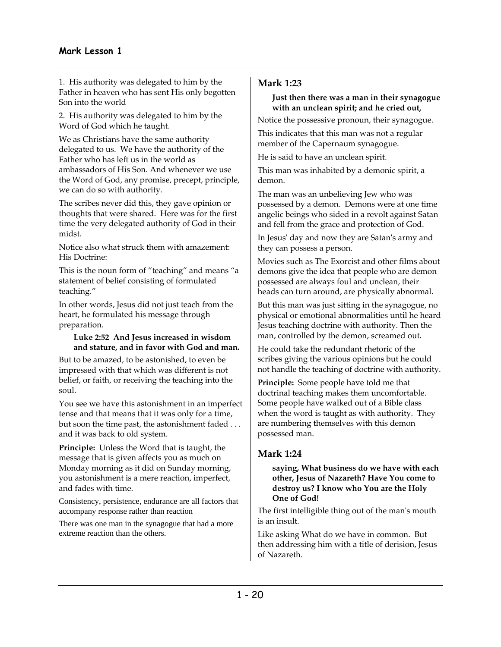## **Mark Lesson 1**

1. His authority was delegated to him by the Father in heaven who has sent His only begotten Son into the world

2. His authority was delegated to him by the Word of God which he taught.

We as Christians have the same authority delegated to us. We have the authority of the Father who has left us in the world as ambassadors of His Son. And whenever we use the Word of God, any promise, precept, principle, we can do so with authority.

The scribes never did this, they gave opinion or thoughts that were shared. Here was for the first time the very delegated authority of God in their midst.

Notice also what struck them with amazement: His Doctrine:

This is the noun form of "teaching" and means "a statement of belief consisting of formulated teaching."

In other words, Jesus did not just teach from the heart, he formulated his message through preparation.

#### **Luke 2:52 And Jesus increased in wisdom and stature, and in favor with God and man.**

But to be amazed, to be astonished, to even be impressed with that which was different is not belief, or faith, or receiving the teaching into the soul.

You see we have this astonishment in an imperfect tense and that means that it was only for a time, but soon the time past, the astonishment faded . . . and it was back to old system.

**Principle:** Unless the Word that is taught, the message that is given affects you as much on Monday morning as it did on Sunday morning, you astonishment is a mere reaction, imperfect, and fades with time.

Consistency, persistence, endurance are all factors that accompany response rather than reaction

There was one man in the synagogue that had a more extreme reaction than the others.

## **Mark 1:23**

#### **Just then there was a man in their synagogue with an unclean spirit; and he cried out,**

Notice the possessive pronoun, their synagogue.

This indicates that this man was not a regular member of the Capernaum synagogue.

He is said to have an unclean spirit.

This man was inhabited by a demonic spirit, a demon.

The man was an unbelieving Jew who was possessed by a demon. Demons were at one time angelic beings who sided in a revolt against Satan and fell from the grace and protection of God.

In Jesus' day and now they are Satan's army and they can possess a person.

Movies such as The Exorcist and other films about demons give the idea that people who are demon possessed are always foul and unclean, their heads can turn around, are physically abnormal.

But this man was just sitting in the synagogue, no physical or emotional abnormalities until he heard Jesus teaching doctrine with authority. Then the man, controlled by the demon, screamed out.

He could take the redundant rhetoric of the scribes giving the various opinions but he could not handle the teaching of doctrine with authority.

**Principle:** Some people have told me that doctrinal teaching makes them uncomfortable. Some people have walked out of a Bible class when the word is taught as with authority. They are numbering themselves with this demon possessed man.

# **Mark 1:24**

**saying, What business do we have with each other, Jesus of Nazareth? Have You come to destroy us? I know who You are the Holy One of God!** 

The first intelligible thing out of the man's mouth is an insult.

Like asking What do we have in common. But then addressing him with a title of derision, Jesus of Nazareth.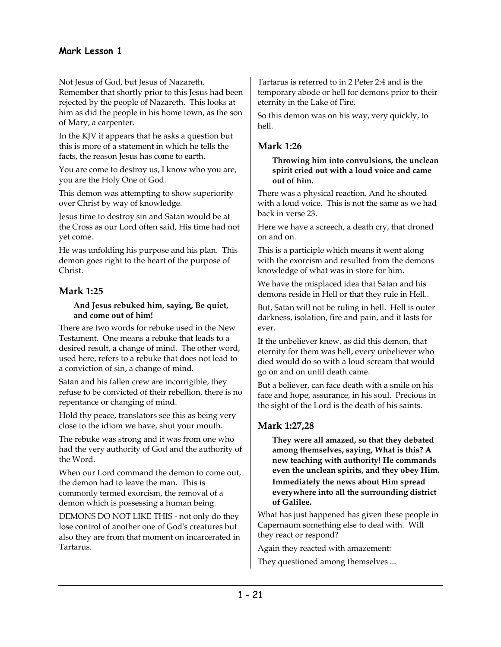Not Jesus of God, but Jesus of Nazareth.

Remember that shortly prior to this Jesus had been rejected by the people of Nazareth. This looks at him as did the people in his home town, as the son of Mary, a carpenter.

In the KJV it appears that he asks a question but this is more of a statement in which he tells the facts, the reason Jesus has come to earth.

You are come to destroy us, I know who you are, you are the Holy One of God.

This demon was attempting to show superiority over Christ by way of knowledge.

Jesus time to destroy sin and Satan would be at the Cross as our Lord often said, His time had not yet come.

He was unfolding his purpose and his plan. This demon goes right to the heart of the purpose of Christ.

# **Mark 1:25**

#### **And Jesus rebuked him, saying, Be quiet, and come out of him!**

There are two words for rebuke used in the New Testament. One means a rebuke that leads to a desired result, a change of mind. The other word, used here, refers to a rebuke that does not lead to a conviction of sin, a change of mind.

Satan and his fallen crew are incorrigible, they refuse to be convicted of their rebellion, there is no repentance or changing of mind.

Hold thy peace, translators see this as being very close to the idiom we have, shut your mouth.

The rebuke was strong and it was from one who had the very authority of God and the authority of the Word.

When our Lord command the demon to come out, the demon had to leave the man. This is commonly termed exorcism, the removal of a demon which is possessing a human being.

DEMONS DO NOT LIKE THIS - not only do they lose control of another one of God's creatures but also they are from that moment on incarcerated in Tartarus.

Tartarus is referred to in 2 Peter 2:4 and is the temporary abode or hell for demons prior to their eternity in the Lake of Fire.

So this demon was on his way, very quickly, to hell.

## **Mark 1:26**

**Throwing him into convulsions, the unclean spirit cried out with a loud voice and came out of him.** 

There was a physical reaction. And he shouted with a loud voice. This is not the same as we had back in verse 23.

Here we have a screech, a death cry, that droned on and on.

This is a participle which means it went along with the exorcism and resulted from the demons knowledge of what was in store for him.

We have the misplaced idea that Satan and his demons reside in Hell or that they rule in Hell..

But, Satan will not be ruling in hell. Hell is outer darkness, isolation, fire and pain, and it lasts for ever.

If the unbeliever knew, as did this demon, that eternity for them was hell, every unbeliever who died would do so with a loud scream that would go on and on until death came.

But a believer, can face death with a smile on his face and hope, assurance, in his soul. Precious in the sight of the Lord is the death of his saints.

# **Mark 1:27,28**

**They were all amazed, so that they debated among themselves, saying, What is this? A new teaching with authority! He commands even the unclean spirits, and they obey Him. Immediately the news about Him spread everywhere into all the surrounding district of Galilee.** 

What has just happened has given these people in Capernaum something else to deal with. Will they react or respond?

Again they reacted with amazement:

They questioned among themselves ...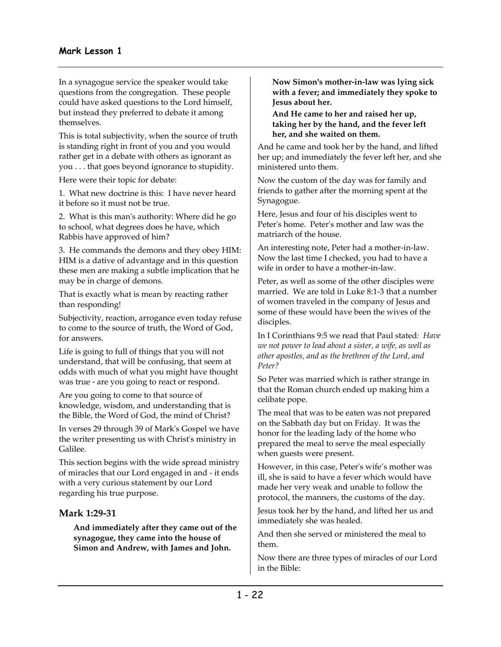In a synagogue service the speaker would take questions from the congregation. These people could have asked questions to the Lord himself, but instead they preferred to debate it among themselves.

This is total subjectivity, when the source of truth is standing right in front of you and you would rather get in a debate with others as ignorant as you . . . that goes beyond ignorance to stupidity.

Here were their topic for debate:

1. What new doctrine is this: I have never heard it before so it must not be true.

2. What is this man's authority: Where did he go to school, what degrees does he have, which Rabbis have approved of him?

3. He commands the demons and they obey HIM: HIM is a dative of advantage and in this question these men are making a subtle implication that he may be in charge of demons.

That is exactly what is mean by reacting rather than responding!

Subjectivity, reaction, arrogance even today refuse to come to the source of truth, the Word of God, for answers.

Life is going to full of things that you will not understand, that will be confusing, that seem at odds with much of what you might have thought was true - are you going to react or respond.

Are you going to come to that source of knowledge, wisdom, and understanding that is the Bible, the Word of God, the mind of Christ?

In verses 29 through 39 of Mark's Gospel we have the writer presenting us with Christ's ministry in Galilee.

This section begins with the wide spread ministry of miracles that our Lord engaged in and - it ends with a very curious statement by our Lord regarding his true purpose.

## **Mark 1:29-31**

**And immediately after they came out of the synagogue, they came into the house of Simon and Andrew, with James and John.** 

**Now Simon's mother-in-law was lying sick with a fever; and immediately they spoke to Jesus about her.** 

**And He came to her and raised her up, taking her by the hand, and the fever left her, and she waited on them.** 

And he came and took her by the hand, and lifted her up; and immediately the fever left her, and she ministered unto them.

Now the custom of the day was for family and friends to gather after the morning spent at the Synagogue.

Here, Jesus and four of his disciples went to Peter's home. Peter's mother and law was the matriarch of the house.

An interesting note, Peter had a mother-in-law. Now the last time I checked, you had to have a wife in order to have a mother-in-law.

Peter, as well as some of the other disciples were married. We are told in Luke 8:1-3 that a number of women traveled in the company of Jesus and some of these would have been the wives of the disciples.

In I Corinthians 9:5 we read that Paul stated*: Have we not power to lead about a sister, a wife, as well as other apostles, and as the brethren of the Lord, and Peter?* 

So Peter was married which is rather strange in that the Roman church ended up making him a celibate pope.

The meal that was to be eaten was not prepared on the Sabbath day but on Friday. It was the honor for the leading lady of the home who prepared the meal to serve the meal especially when guests were present.

However, in this case, Peter's wife's mother was ill, she is said to have a fever which would have made her very weak and unable to follow the protocol, the manners, the customs of the day.

Jesus took her by the hand, and lifted her us and immediately she was healed.

And then she served or ministered the meal to them.

Now there are three types of miracles of our Lord in the Bible: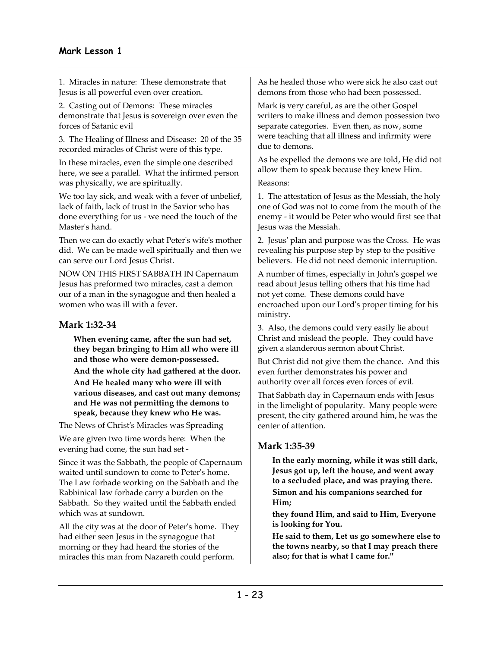1. Miracles in nature: These demonstrate that Jesus is all powerful even over creation.

2. Casting out of Demons: These miracles demonstrate that Jesus is sovereign over even the forces of Satanic evil

3. The Healing of Illness and Disease: 20 of the 35 recorded miracles of Christ were of this type.

In these miracles, even the simple one described here, we see a parallel. What the infirmed person was physically, we are spiritually.

We too lay sick, and weak with a fever of unbelief, lack of faith, lack of trust in the Savior who has done everything for us - we need the touch of the Master's hand.

Then we can do exactly what Peter's wife's mother did. We can be made well spiritually and then we can serve our Lord Jesus Christ.

NOW ON THIS FIRST SABBATH IN Capernaum Jesus has preformed two miracles, cast a demon our of a man in the synagogue and then healed a women who was ill with a fever.

# **Mark 1:32-34**

**When evening came, after the sun had set, they began bringing to Him all who were ill and those who were demon-possessed. And the whole city had gathered at the door. And He healed many who were ill with various diseases, and cast out many demons; and He was not permitting the demons to speak, because they knew who He was.**

The News of Christ's Miracles was Spreading

We are given two time words here: When the evening had come, the sun had set -

Since it was the Sabbath, the people of Capernaum waited until sundown to come to Peter's home. The Law forbade working on the Sabbath and the Rabbinical law forbade carry a burden on the Sabbath. So they waited until the Sabbath ended which was at sundown.

All the city was at the door of Peter's home. They had either seen Jesus in the synagogue that morning or they had heard the stories of the miracles this man from Nazareth could perform.

As he healed those who were sick he also cast out demons from those who had been possessed.

Mark is very careful, as are the other Gospel writers to make illness and demon possession two separate categories. Even then, as now, some were teaching that all illness and infirmity were due to demons.

As he expelled the demons we are told, He did not allow them to speak because they knew Him.

Reasons:

1. The attestation of Jesus as the Messiah, the holy one of God was not to come from the mouth of the enemy - it would be Peter who would first see that Jesus was the Messiah.

2. Jesus' plan and purpose was the Cross. He was revealing his purpose step by step to the positive believers. He did not need demonic interruption.

A number of times, especially in John's gospel we read about Jesus telling others that his time had not yet come. These demons could have encroached upon our Lord's proper timing for his ministry.

3. Also, the demons could very easily lie about Christ and mislead the people. They could have given a slanderous sermon about Christ.

But Christ did not give them the chance. And this even further demonstrates his power and authority over all forces even forces of evil.

That Sabbath day in Capernaum ends with Jesus in the limelight of popularity. Many people were present, the city gathered around him, he was the center of attention.

# **Mark 1:35-39**

**In the early morning, while it was still dark, Jesus got up, left the house, and went away to a secluded place, and was praying there. Simon and his companions searched for Him;** 

**they found Him, and said to Him, Everyone is looking for You.** 

**He said to them, Let us go somewhere else to the towns nearby, so that I may preach there also; for that is what I came for.''**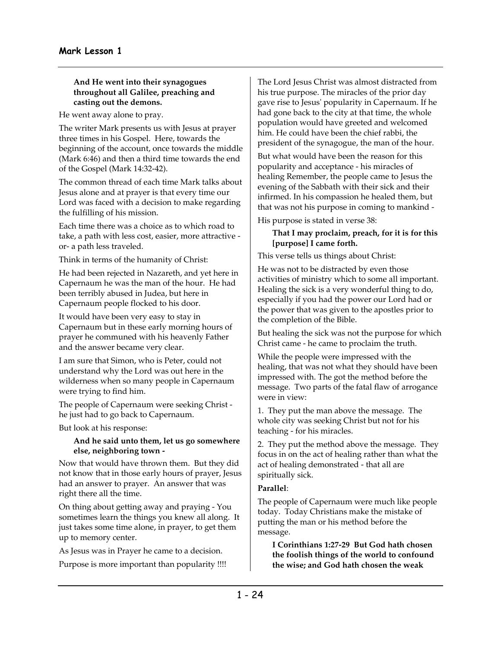#### **And He went into their synagogues throughout all Galilee, preaching and casting out the demons.**

He went away alone to pray.

The writer Mark presents us with Jesus at prayer three times in his Gospel. Here, towards the beginning of the account, once towards the middle (Mark 6:46) and then a third time towards the end of the Gospel (Mark 14:32-42).

The common thread of each time Mark talks about Jesus alone and at prayer is that every time our Lord was faced with a decision to make regarding the fulfilling of his mission.

Each time there was a choice as to which road to take, a path with less cost, easier, more attractive or- a path less traveled.

Think in terms of the humanity of Christ:

He had been rejected in Nazareth, and yet here in Capernaum he was the man of the hour. He had been terribly abused in Judea, but here in Capernaum people flocked to his door.

It would have been very easy to stay in Capernaum but in these early morning hours of prayer he communed with his heavenly Father and the answer became very clear.

I am sure that Simon, who is Peter, could not understand why the Lord was out here in the wilderness when so many people in Capernaum were trying to find him.

The people of Capernaum were seeking Christ he just had to go back to Capernaum.

But look at his response:

#### **And he said unto them, let us go somewhere else, neighboring town -**

Now that would have thrown them. But they did not know that in those early hours of prayer, Jesus had an answer to prayer. An answer that was right there all the time.

On thing about getting away and praying - You sometimes learn the things you knew all along. It just takes some time alone, in prayer, to get them up to memory center.

As Jesus was in Prayer he came to a decision. Purpose is more important than popularity !!!! The Lord Jesus Christ was almost distracted from his true purpose. The miracles of the prior day gave rise to Jesus' popularity in Capernaum. If he had gone back to the city at that time, the whole population would have greeted and welcomed him. He could have been the chief rabbi, the president of the synagogue, the man of the hour.

But what would have been the reason for this popularity and acceptance - his miracles of healing Remember, the people came to Jesus the evening of the Sabbath with their sick and their infirmed. In his compassion he healed them, but that was not his purpose in coming to mankind -

His purpose is stated in verse 38:

#### **That I may proclaim, preach, for it is for this [purpose] I came forth.**

This verse tells us things about Christ:

He was not to be distracted by even those activities of ministry which to some all important. Healing the sick is a very wonderful thing to do, especially if you had the power our Lord had or the power that was given to the apostles prior to the completion of the Bible.

But healing the sick was not the purpose for which Christ came - he came to proclaim the truth.

While the people were impressed with the healing, that was not what they should have been impressed with. The got the method before the message. Two parts of the fatal flaw of arrogance were in view:

1. They put the man above the message. The whole city was seeking Christ but not for his teaching - for his miracles.

2. They put the method above the message. They focus in on the act of healing rather than what the act of healing demonstrated - that all are spiritually sick.

## **Parallel**:

The people of Capernaum were much like people today. Today Christians make the mistake of putting the man or his method before the message.

**I Corinthians 1:27-29 But God hath chosen the foolish things of the world to confound the wise; and God hath chosen the weak**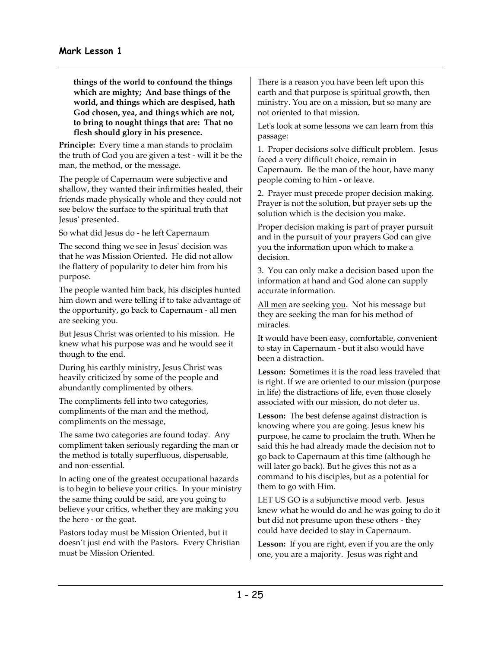**things of the world to confound the things which are mighty; And base things of the world, and things which are despised, hath God chosen, yea, and things which are not, to bring to nought things that are: That no flesh should glory in his presence.** 

**Principle:** Every time a man stands to proclaim the truth of God you are given a test - will it be the man, the method, or the message.

The people of Capernaum were subjective and shallow, they wanted their infirmities healed, their friends made physically whole and they could not see below the surface to the spiritual truth that Jesus' presented.

So what did Jesus do - he left Capernaum

The second thing we see in Jesus' decision was that he was Mission Oriented. He did not allow the flattery of popularity to deter him from his purpose.

The people wanted him back, his disciples hunted him down and were telling if to take advantage of the opportunity, go back to Capernaum - all men are seeking you.

But Jesus Christ was oriented to his mission. He knew what his purpose was and he would see it though to the end.

During his earthly ministry, Jesus Christ was heavily criticized by some of the people and abundantly complimented by others.

The compliments fell into two categories, compliments of the man and the method, compliments on the message,

The same two categories are found today. Any compliment taken seriously regarding the man or the method is totally superfluous, dispensable, and non-essential.

In acting one of the greatest occupational hazards is to begin to believe your critics. In your ministry the same thing could be said, are you going to believe your critics, whether they are making you the hero - or the goat.

Pastors today must be Mission Oriented, but it doesn't just end with the Pastors. Every Christian must be Mission Oriented.

There is a reason you have been left upon this earth and that purpose is spiritual growth, then ministry. You are on a mission, but so many are not oriented to that mission.

Let's look at some lessons we can learn from this passage:

1. Proper decisions solve difficult problem. Jesus faced a very difficult choice, remain in Capernaum. Be the man of the hour, have many people coming to him - or leave.

2. Prayer must precede proper decision making. Prayer is not the solution, but prayer sets up the solution which is the decision you make.

Proper decision making is part of prayer pursuit and in the pursuit of your prayers God can give you the information upon which to make a decision.

3. You can only make a decision based upon the information at hand and God alone can supply accurate information.

All men are seeking you. Not his message but they are seeking the man for his method of miracles.

It would have been easy, comfortable, convenient to stay in Capernaum - but it also would have been a distraction.

**Lesson:** Sometimes it is the road less traveled that is right. If we are oriented to our mission (purpose in life) the distractions of life, even those closely associated with our mission, do not deter us.

**Lesson:** The best defense against distraction is knowing where you are going. Jesus knew his purpose, he came to proclaim the truth. When he said this he had already made the decision not to go back to Capernaum at this time (although he will later go back). But he gives this not as a command to his disciples, but as a potential for them to go with Him.

LET US GO is a subjunctive mood verb. Jesus knew what he would do and he was going to do it but did not presume upon these others - they could have decided to stay in Capernaum.

**Lesson:** If you are right, even if you are the only one, you are a majority. Jesus was right and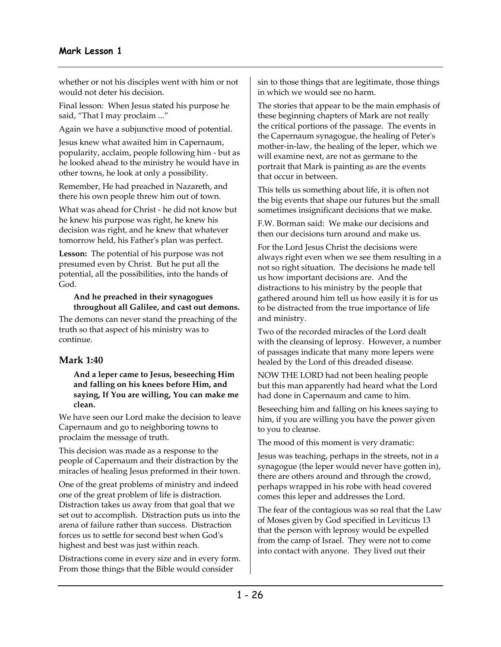whether or not his disciples went with him or not would not deter his decision.

Final lesson: When Jesus stated his purpose he said, "That I may proclaim ..."

Again we have a subjunctive mood of potential.

Jesus knew what awaited him in Capernaum, popularity, acclaim, people following him - but as he looked ahead to the ministry he would have in other towns, he look at only a possibility.

Remember, He had preached in Nazareth, and there his own people threw him out of town.

What was ahead for Christ - he did not know but he knew his purpose was right, he knew his decision was right, and he knew that whatever tomorrow held, his Father's plan was perfect.

**Lesson:** The potential of his purpose was not presumed even by Christ. But he put all the potential, all the possibilities, into the hands of God.

#### **And he preached in their synagogues throughout all Galilee, and cast out demons.**

The demons can never stand the preaching of the truth so that aspect of his ministry was to continue.

# **Mark 1:40**

#### **And a leper came to Jesus, beseeching Him and falling on his knees before Him, and saying, If You are willing, You can make me clean.**

We have seen our Lord make the decision to leave Capernaum and go to neighboring towns to proclaim the message of truth.

This decision was made as a response to the people of Capernaum and their distraction by the miracles of healing Jesus preformed in their town.

One of the great problems of ministry and indeed one of the great problem of life is distraction. Distraction takes us away from that goal that we set out to accomplish. Distraction puts us into the arena of failure rather than success. Distraction forces us to settle for second best when God's highest and best was just within reach.

Distractions come in every size and in every form. From those things that the Bible would consider

sin to those things that are legitimate, those things in which we would see no harm.

The stories that appear to be the main emphasis of these beginning chapters of Mark are not really the critical portions of the passage. The events in the Capernaum synagogue, the healing of Peter's mother-in-law, the healing of the leper, which we will examine next, are not as germane to the portrait that Mark is painting as are the events that occur in between.

This tells us something about life, it is often not the big events that shape our futures but the small sometimes insignificant decisions that we make.

F.W. Borman said: We make our decisions and then our decisions turn around and make us.

For the Lord Jesus Christ the decisions were always right even when we see them resulting in a not so right situation. The decisions he made tell us how important decisions are. And the distractions to his ministry by the people that gathered around him tell us how easily it is for us to be distracted from the true importance of life and ministry.

Two of the recorded miracles of the Lord dealt with the cleansing of leprosy. However, a number of passages indicate that many more lepers were healed by the Lord of this dreaded disease.

NOW THE LORD had not been healing people but this man apparently had heard what the Lord had done in Capernaum and came to him.

Beseeching him and falling on his knees saying to him, if you are willing you have the power given to you to cleanse.

The mood of this moment is very dramatic:

Jesus was teaching, perhaps in the streets, not in a synagogue (the leper would never have gotten in), there are others around and through the crowd, perhaps wrapped in his robe with head covered comes this leper and addresses the Lord.

The fear of the contagious was so real that the Law of Moses given by God specified in Leviticus 13 that the person with leprosy would be expelled from the camp of Israel. They were not to come into contact with anyone. They lived out their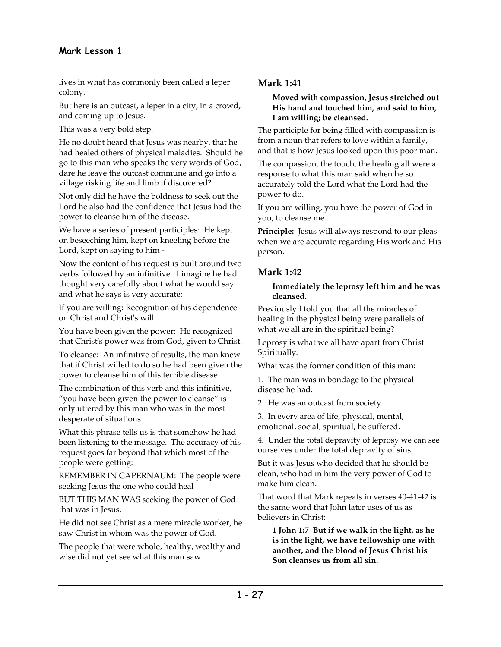lives in what has commonly been called a leper colony.

But here is an outcast, a leper in a city, in a crowd, and coming up to Jesus.

This was a very bold step.

He no doubt heard that Jesus was nearby, that he had healed others of physical maladies. Should he go to this man who speaks the very words of God, dare he leave the outcast commune and go into a village risking life and limb if discovered?

Not only did he have the boldness to seek out the Lord he also had the confidence that Jesus had the power to cleanse him of the disease.

We have a series of present participles: He kept on beseeching him, kept on kneeling before the Lord, kept on saying to him -

Now the content of his request is built around two verbs followed by an infinitive. I imagine he had thought very carefully about what he would say and what he says is very accurate:

If you are willing: Recognition of his dependence on Christ and Christ's will.

You have been given the power: He recognized that Christ's power was from God, given to Christ.

To cleanse: An infinitive of results, the man knew that if Christ willed to do so he had been given the power to cleanse him of this terrible disease.

The combination of this verb and this infinitive, "you have been given the power to cleanse" is only uttered by this man who was in the most desperate of situations.

What this phrase tells us is that somehow he had been listening to the message. The accuracy of his request goes far beyond that which most of the people were getting:

REMEMBER IN CAPERNAUM: The people were seeking Jesus the one who could heal

BUT THIS MAN WAS seeking the power of God that was in Jesus.

He did not see Christ as a mere miracle worker, he saw Christ in whom was the power of God.

The people that were whole, healthy, wealthy and wise did not yet see what this man saw.

# **Mark 1:41**

#### **Moved with compassion, Jesus stretched out His hand and touched him, and said to him, I am willing; be cleansed.**

The participle for being filled with compassion is from a noun that refers to love within a family, and that is how Jesus looked upon this poor man.

The compassion, the touch, the healing all were a response to what this man said when he so accurately told the Lord what the Lord had the power to do.

If you are willing, you have the power of God in you, to cleanse me.

**Principle:** Jesus will always respond to our pleas when we are accurate regarding His work and His person.

# **Mark 1:42**

#### **Immediately the leprosy left him and he was cleansed.**

Previously I told you that all the miracles of healing in the physical being were parallels of what we all are in the spiritual being?

Leprosy is what we all have apart from Christ Spiritually.

What was the former condition of this man:

1. The man was in bondage to the physical disease he had.

2. He was an outcast from society

3. In every area of life, physical, mental, emotional, social, spiritual, he suffered.

4. Under the total depravity of leprosy we can see ourselves under the total depravity of sins

But it was Jesus who decided that he should be clean, who had in him the very power of God to make him clean.

That word that Mark repeats in verses 40-41-42 is the same word that John later uses of us as believers in Christ:

**1 John 1:7 But if we walk in the light, as he is in the light, we have fellowship one with another, and the blood of Jesus Christ his Son cleanses us from all sin.**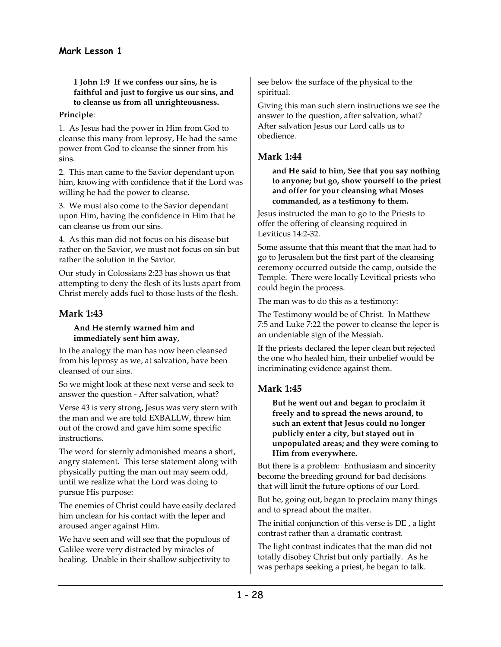**1 John 1:9 If we confess our sins, he is faithful and just to forgive us our sins, and to cleanse us from all unrighteousness.** 

#### **Principle**:

1. As Jesus had the power in Him from God to cleanse this many from leprosy, He had the same power from God to cleanse the sinner from his sins.

2. This man came to the Savior dependant upon him, knowing with confidence that if the Lord was willing he had the power to cleanse.

3. We must also come to the Savior dependant upon Him, having the confidence in Him that he can cleanse us from our sins.

4. As this man did not focus on his disease but rather on the Savior, we must not focus on sin but rather the solution in the Savior.

Our study in Colossians 2:23 has shown us that attempting to deny the flesh of its lusts apart from Christ merely adds fuel to those lusts of the flesh.

# **Mark 1:43**

#### **And He sternly warned him and immediately sent him away,**

In the analogy the man has now been cleansed from his leprosy as we, at salvation, have been cleansed of our sins.

So we might look at these next verse and seek to answer the question - After salvation, what?

Verse 43 is very strong, Jesus was very stern with the man and we are told EXBALLW, threw him out of the crowd and gave him some specific instructions.

The word for sternly admonished means a short, angry statement. This terse statement along with physically putting the man out may seem odd, until we realize what the Lord was doing to pursue His purpose:

The enemies of Christ could have easily declared him unclean for his contact with the leper and aroused anger against Him.

We have seen and will see that the populous of Galilee were very distracted by miracles of healing. Unable in their shallow subjectivity to

see below the surface of the physical to the spiritual.

Giving this man such stern instructions we see the answer to the question, after salvation, what? After salvation Jesus our Lord calls us to obedience.

## **Mark 1:44**

**and He said to him, See that you say nothing to anyone; but go, show yourself to the priest and offer for your cleansing what Moses commanded, as a testimony to them.** 

Jesus instructed the man to go to the Priests to offer the offering of cleansing required in Leviticus 14:2-32.

Some assume that this meant that the man had to go to Jerusalem but the first part of the cleansing ceremony occurred outside the camp, outside the Temple. There were locally Levitical priests who could begin the process.

The man was to do this as a testimony:

The Testimony would be of Christ. In Matthew 7:5 and Luke 7:22 the power to cleanse the leper is an undeniable sign of the Messiah.

If the priests declared the leper clean but rejected the one who healed him, their unbelief would be incriminating evidence against them.

# **Mark 1:45**

**But he went out and began to proclaim it freely and to spread the news around, to such an extent that Jesus could no longer publicly enter a city, but stayed out in unpopulated areas; and they were coming to Him from everywhere.** 

But there is a problem: Enthusiasm and sincerity become the breeding ground for bad decisions that will limit the future options of our Lord.

But he, going out, began to proclaim many things and to spread about the matter.

The initial conjunction of this verse is DE , a light contrast rather than a dramatic contrast.

The light contrast indicates that the man did not totally disobey Christ but only partially. As he was perhaps seeking a priest, he began to talk.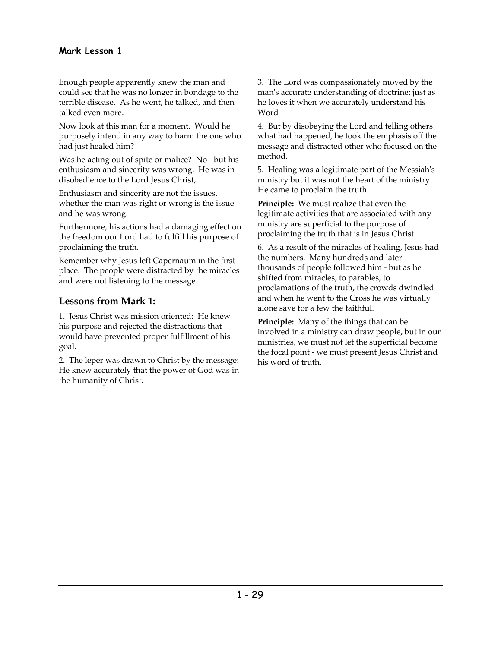Enough people apparently knew the man and could see that he was no longer in bondage to the terrible disease. As he went, he talked, and then talked even more.

Now look at this man for a moment. Would he purposely intend in any way to harm the one who had just healed him?

Was he acting out of spite or malice? No - but his enthusiasm and sincerity was wrong. He was in disobedience to the Lord Jesus Christ,

Enthusiasm and sincerity are not the issues, whether the man was right or wrong is the issue and he was wrong.

Furthermore, his actions had a damaging effect on the freedom our Lord had to fulfill his purpose of proclaiming the truth.

Remember why Jesus left Capernaum in the first place. The people were distracted by the miracles and were not listening to the message.

## **Lessons from Mark 1:**

1. Jesus Christ was mission oriented: He knew his purpose and rejected the distractions that would have prevented proper fulfillment of his goal.

2. The leper was drawn to Christ by the message: He knew accurately that the power of God was in the humanity of Christ.

3. The Lord was compassionately moved by the man's accurate understanding of doctrine; just as he loves it when we accurately understand his Word

4. But by disobeying the Lord and telling others what had happened, he took the emphasis off the message and distracted other who focused on the method.

5. Healing was a legitimate part of the Messiah's ministry but it was not the heart of the ministry. He came to proclaim the truth.

**Principle:** We must realize that even the legitimate activities that are associated with any ministry are superficial to the purpose of proclaiming the truth that is in Jesus Christ.

6. As a result of the miracles of healing, Jesus had the numbers. Many hundreds and later thousands of people followed him - but as he shifted from miracles, to parables, to proclamations of the truth, the crowds dwindled and when he went to the Cross he was virtually alone save for a few the faithful.

**Principle:** Many of the things that can be involved in a ministry can draw people, but in our ministries, we must not let the superficial become the focal point - we must present Jesus Christ and his word of truth.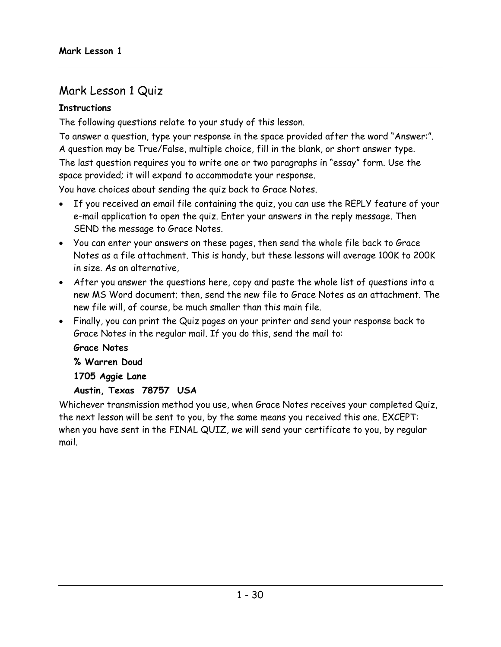# Mark Lesson 1 Quiz

# **Instructions**

The following questions relate to your study of this lesson.

To answer a question, type your response in the space provided after the word "Answer:". A question may be True/False, multiple choice, fill in the blank, or short answer type. The last question requires you to write one or two paragraphs in "essay" form. Use the space provided; it will expand to accommodate your response.

You have choices about sending the quiz back to Grace Notes.

- If you received an email file containing the quiz, you can use the REPLY feature of your e-mail application to open the quiz. Enter your answers in the reply message. Then SEND the message to Grace Notes.
- You can enter your answers on these pages, then send the whole file back to Grace Notes as a file attachment. This is handy, but these lessons will average 100K to 200K in size. As an alternative,
- After you answer the questions here, copy and paste the whole list of questions into a new MS Word document; then, send the new file to Grace Notes as an attachment. The new file will, of course, be much smaller than this main file.
- Finally, you can print the Quiz pages on your printer and send your response back to Grace Notes in the regular mail. If you do this, send the mail to:

# **Grace Notes**

**% Warren Doud** 

**1705 Aggie Lane** 

# **Austin, Texas 78757 USA**

Whichever transmission method you use, when Grace Notes receives your completed Quiz, the next lesson will be sent to you, by the same means you received this one. EXCEPT: when you have sent in the FINAL QUIZ, we will send your certificate to you, by regular mail.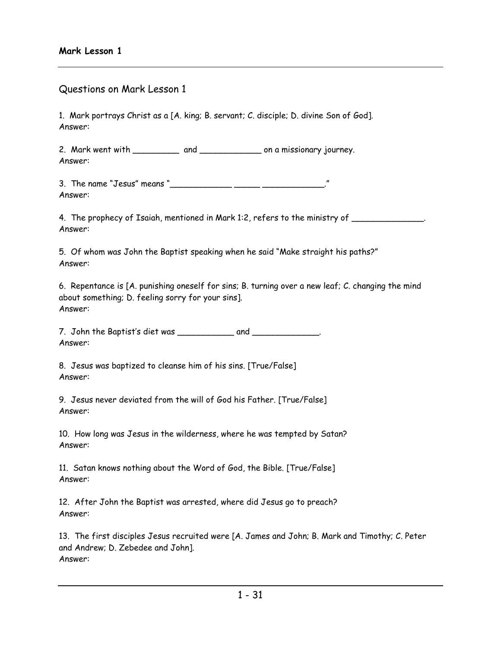## Questions on Mark Lesson 1

1. Mark portrays Christ as a [A. king; B. servant; C. disciple; D. divine Son of God]. Answer:

2. Mark went with \_\_\_\_\_\_\_\_\_\_\_ and \_\_\_\_\_\_\_\_\_\_\_\_\_\_\_\_ on a missionary journey. Answer:

3. The name "Jesus" means " Answer:

4. The prophecy of Isaiah, mentioned in Mark 1:2, refers to the ministry of \_\_\_\_\_\_\_\_\_\_\_\_\_\_. Answer:

5. Of whom was John the Baptist speaking when he said "Make straight his paths?" Answer:

6. Repentance is [A. punishing oneself for sins; B. turning over a new leaf; C. changing the mind about something; D. feeling sorry for your sins]. Answer:

7. John the Baptist's diet was \_\_\_\_\_\_\_\_\_\_\_\_\_\_\_ and \_\_\_\_\_\_\_\_\_\_\_\_\_. Answer:

8. Jesus was baptized to cleanse him of his sins. [True/False] Answer:

9. Jesus never deviated from the will of God his Father. [True/False] Answer:

10. How long was Jesus in the wilderness, where he was tempted by Satan? Answer:

11. Satan knows nothing about the Word of God, the Bible. [True/False] Answer:

12. After John the Baptist was arrested, where did Jesus go to preach? Answer:

13. The first disciples Jesus recruited were [A. James and John; B. Mark and Timothy; C. Peter and Andrew; D. Zebedee and John]. Answer: